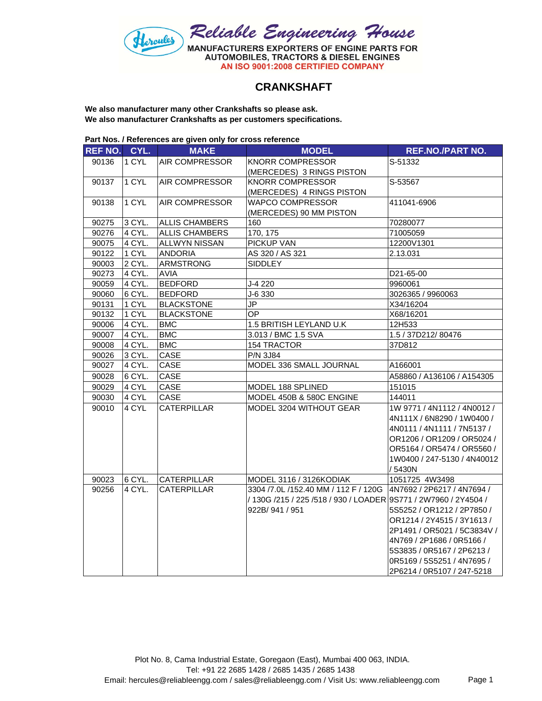

## **CRANKSHAFT**

**We also manufacturer many other Crankshafts so please ask. We also manufacturer Crankshafts as per customers specifications.**

| Part Nos. / References are given only for cross reference |  |
|-----------------------------------------------------------|--|
|-----------------------------------------------------------|--|

| <b>REF NO.</b> | CYL.   | <b>MAKE</b>           | <b>MODEL</b>                                                      | <b>REF.NO./PART NO.</b>     |
|----------------|--------|-----------------------|-------------------------------------------------------------------|-----------------------------|
| 90136          | 1 CYL  | AIR COMPRESSOR        | <b>KNORR COMPRESSOR</b>                                           | S-51332                     |
|                |        |                       | (MERCEDES) 3 RINGS PISTON                                         |                             |
| 90137          | 1 CYL  | <b>AIR COMPRESSOR</b> | <b>KNORR COMPRESSOR</b>                                           | S-53567                     |
|                |        |                       | (MERCEDES) 4 RINGS PISTON                                         |                             |
| 90138          | 1 CYL  | AIR COMPRESSOR        | <b>WAPCO COMPRESSOR</b>                                           | 411041-6906                 |
|                |        |                       | (MERCEDES) 90 MM PISTON                                           |                             |
| 90275          | 3 CYL. | <b>ALLIS CHAMBERS</b> | 160                                                               | 70280077                    |
| 90276          | 4 CYL. | <b>ALLIS CHAMBERS</b> | 170, 175                                                          | 71005059                    |
| 90075          | 4 CYL. | <b>ALLWYN NISSAN</b>  | PICKUP VAN                                                        | 12200V1301                  |
| 90122          | 1 CYL  | <b>ANDORIA</b>        | AS 320 / AS 321                                                   | 2.13.031                    |
| 90003          | 2 CYL. | <b>ARMSTRONG</b>      | <b>SIDDLEY</b>                                                    |                             |
| 90273          | 4 CYL. | <b>AVIA</b>           |                                                                   | D21-65-00                   |
| 90059          | 4 CYL. | <b>BEDFORD</b>        | J-4 220                                                           | 9960061                     |
| 90060          | 6 CYL. | <b>BEDFORD</b>        | J-6 330                                                           | 3026365 / 9960063           |
| 90131          | 1 CYL  | <b>BLACKSTONE</b>     | JP                                                                | X34/16204                   |
| 90132          | 1 CYL  | <b>BLACKSTONE</b>     | OP.                                                               | X68/16201                   |
| 90006          | 4 CYL. | <b>BMC</b>            | 1.5 BRITISH LEYLAND U.K                                           | 12H533                      |
| 90007          | 4 CYL. | <b>BMC</b>            | 3.013 / BMC 1.5 SVA                                               | 1.5 / 37D212/80476          |
| 90008          | 4 CYL. | <b>BMC</b>            | 154 TRACTOR                                                       | 37D812                      |
| 90026          | 3 CYL. | CASE                  | <b>P/N 3J84</b>                                                   |                             |
| 90027          | 4 CYL. | CASE                  | MODEL 336 SMALL JOURNAL                                           | A166001                     |
| 90028          | 6 CYL. | CASE                  |                                                                   | A58860 / A136106 / A154305  |
| 90029          | 4 CYL  | CASE                  | MODEL 188 SPLINED                                                 | 151015                      |
| 90030          | 4 CYL  | CASE                  | MODEL 450B & 580C ENGINE                                          | 144011                      |
| 90010          | 4 CYL  | <b>CATERPILLAR</b>    | MODEL 3204 WITHOUT GEAR                                           | 1W 9771 / 4N1112 / 4N0012 / |
|                |        |                       |                                                                   | 4N111X / 6N8290 / 1W0400 /  |
|                |        |                       |                                                                   | 4N0111 / 4N1111 / 7N5137 /  |
|                |        |                       |                                                                   | OR1206 / OR1209 / OR5024 /  |
|                |        |                       |                                                                   | OR5164 / OR5474 / OR5560 /  |
|                |        |                       |                                                                   | 1W0400 / 247-5130 / 4N40012 |
|                |        |                       |                                                                   | /5430N                      |
| 90023          | 6 CYL. | CATERPILLAR           | MODEL 3116 / 3126KODIAK                                           | 1051725 4W3498              |
| 90256          | 4 CYL. | <b>CATERPILLAR</b>    | 3304 /7.0L /152.40 MM / 112 F / 120G   4N7692 / 2P6217 / 4N7694 / |                             |
|                |        |                       | / 130G /215 / 225 /518 / 930 / LOADER 9S771 / 2W7960 / 2Y4504 /   |                             |
|                |        |                       | 922B/941/951                                                      | 5S5252 / OR1212 / 2P7850 /  |
|                |        |                       |                                                                   | OR1214 / 2Y4515 / 3Y1613 /  |
|                |        |                       |                                                                   | 2P1491 / OR5021 / 5C3834V / |
|                |        |                       |                                                                   | 4N769 / 2P1686 / 0R5166 /   |
|                |        |                       |                                                                   | 5S3835 / 0R5167 / 2P6213 /  |
|                |        |                       |                                                                   | 0R5169 / 5S5251 / 4N7695 /  |
|                |        |                       |                                                                   | 2P6214 / 0R5107 / 247-5218  |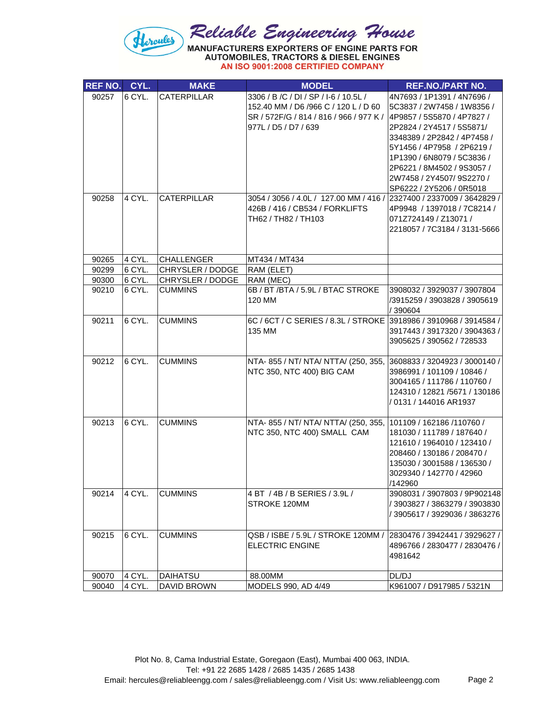

| <b>REF NO.</b> | CYL.   | <b>MAKE</b>             | <b>MODEL</b>                                                         | <b>REF.NO./PART NO.</b>                                     |
|----------------|--------|-------------------------|----------------------------------------------------------------------|-------------------------------------------------------------|
| 90257          | 6 CYL. | <b>CATERPILLAR</b>      | 3306 / B / C / DI / SP / I-6 / 10.5L /                               | 4N7693 / 1P1391 / 4N7696 /                                  |
|                |        |                         | 152.40 MM / D6 /966 C / 120 L / D 60                                 | 5C3837 / 2W7458 / 1W8356 /                                  |
|                |        |                         | SR / 572F/G / 814 / 816 / 966 / 977 K /                              | 4P9857 / 5S5870 / 4P7827 /                                  |
|                |        |                         | 977L / D5 / D7 / 639                                                 | 2P2824 / 2Y4517 / 5S5871/                                   |
|                |        |                         |                                                                      | 3348389 / 2P2842 / 4P7458 /                                 |
|                |        |                         |                                                                      | 5Y1456 / 4P7958 / 2P6219 /                                  |
|                |        |                         |                                                                      | 1P1390 / 6N8079 / 5C3836 /                                  |
|                |        |                         |                                                                      | 2P6221 / 8M4502 / 9S3057 /                                  |
|                |        |                         |                                                                      | 2W7458 / 2Y4507/ 9S2270 /                                   |
|                | 4 CYL. | CATERPILLAR             | 3054 / 3056 / 4.0L / 127.00 MM / 416 / 2327400 / 2337009 / 3642829 / | SP6222 / 2Y5206 / 0R5018                                    |
| 90258          |        |                         | 426B / 416 / CB534 / FORKLIFTS                                       | 4P9948 / 1397018 / 7C8214 /                                 |
|                |        |                         | TH62 / TH82 / TH103                                                  | 071Z724149 / Z13071 /                                       |
|                |        |                         |                                                                      | 2218057 / 7C3184 / 3131-5666                                |
|                |        |                         |                                                                      |                                                             |
|                |        |                         |                                                                      |                                                             |
| 90265          | 4 CYL. | <b>CHALLENGER</b>       | MT434 / MT434                                                        |                                                             |
| 90299          | 6 CYL. | CHRYSLER / DODGE        | RAM (ELET)                                                           |                                                             |
| 90300          | 6 CYL. | <b>CHRYSLER / DODGE</b> | RAM (MEC)                                                            |                                                             |
| 90210          | 6 CYL. | <b>CUMMINS</b>          | 6B / BT /BTA / 5.9L / BTAC STROKE<br>120 MM                          | 3908032 / 3929037 / 3907804<br>/3915259 / 3903828 / 3905619 |
|                |        |                         |                                                                      | / 390604                                                    |
| 90211          | 6 CYL. | <b>CUMMINS</b>          | 6C / 6CT / C SERIES / 8.3L / STROKE 3918986 / 3910968 / 3914584 /    |                                                             |
|                |        |                         | 135 MM                                                               | 3917443 / 3917320 / 3904363 /                               |
|                |        |                         |                                                                      | 3905625 / 390562 / 728533                                   |
|                |        |                         |                                                                      |                                                             |
| 90212          | 6 CYL. | <b>CUMMINS</b>          | NTA- 855 / NT/ NTA/ NTTA/ (250, 355,                                 | 3608833 / 3204923 / 3000140 /                               |
|                |        |                         | NTC 350, NTC 400) BIG CAM                                            | 3986991 / 101109 / 10846 /                                  |
|                |        |                         |                                                                      | 3004165 / 111786 / 110760 /                                 |
|                |        |                         |                                                                      | 124310 / 12821 /5671 / 130186                               |
|                |        |                         |                                                                      | / 0131 / 144016 AR1937                                      |
| 90213          | 6 CYL. | <b>CUMMINS</b>          | NTA- 855 / NT/ NTA/ NTTA/ (250, 355,                                 | 101109 / 162186 /110760 /                                   |
|                |        |                         | NTC 350, NTC 400) SMALL CAM                                          | 181030 / 111789 / 187640 /                                  |
|                |        |                         |                                                                      | 121610 / 1964010 / 123410 /                                 |
|                |        |                         |                                                                      | 208460 / 130186 / 208470 /                                  |
|                |        |                         |                                                                      | 135030 / 3001588 / 136530 /                                 |
|                |        |                         |                                                                      | 3029340 / 142770 / 42960                                    |
|                |        |                         |                                                                      | /142960                                                     |
| 90214          | 4 CYL. | <b>CUMMINS</b>          | 4 BT / 4B / B SERIES / 3.9L /                                        | 3908031 / 3907803 / 9P902148                                |
|                |        |                         | STROKE 120MM                                                         | / 3903827 / 3863279 / 3903830                               |
|                |        |                         |                                                                      | / 3905617 / 3929036 / 3863276                               |
|                |        |                         |                                                                      |                                                             |
| 90215          | 6 CYL. | <b>CUMMINS</b>          | QSB/ISBE/5.9L/STROKE 120MM/2830476/3942441/3929627/                  |                                                             |
|                |        |                         | <b>ELECTRIC ENGINE</b>                                               | 4896766 / 2830477 / 2830476 /                               |
|                |        |                         |                                                                      | 4981642                                                     |
| 90070          | 4 CYL. | <b>DAIHATSU</b>         | 88.00MM                                                              | DL/DJ                                                       |
| 90040          | 4 CYL. | <b>DAVID BROWN</b>      | MODELS 990, AD 4/49                                                  | K961007 / D917985 / 5321N                                   |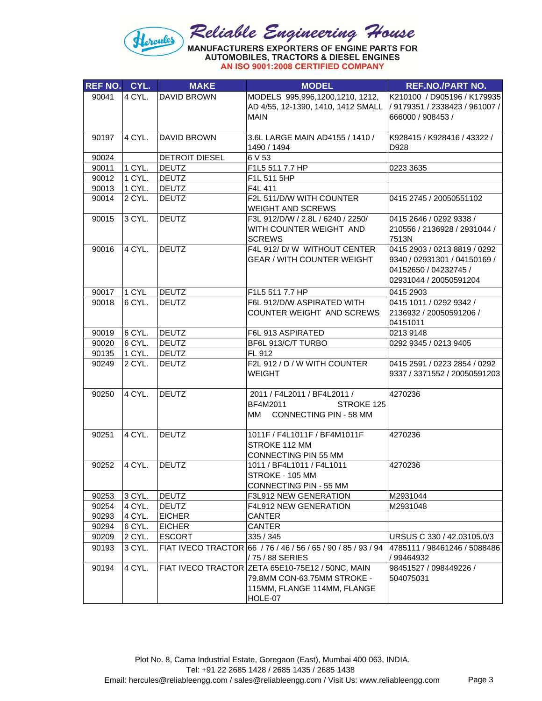

| REF NO. CYL. |        | <b>MAKE</b>               | <b>MODEL</b>                                     | <b>REF.NO./PART NO.</b>        |
|--------------|--------|---------------------------|--------------------------------------------------|--------------------------------|
| 90041        | 4 CYL. | <b>DAVID BROWN</b>        | MODELS 995,996,1200,1210, 1212,                  | K210100 / D905196 / K179935    |
|              |        |                           | AD 4/55, 12-1390, 1410, 1412 SMALL               | / 9179351 / 2338423 / 961007 / |
|              |        |                           | MAIN                                             | 666000 / 908453 /              |
|              |        |                           |                                                  |                                |
| 90197        | 4 CYL. | <b>DAVID BROWN</b>        | 3.6L LARGE MAIN AD4155 / 1410 /                  | K928415 / K928416 / 43322 /    |
|              |        |                           | 1490 / 1494                                      | D928                           |
| 90024        |        | DETROIT DIESEL            | 6 V 53                                           |                                |
| 90011        | 1 CYL. | <b>DEUTZ</b>              | F1L5 511 7.7 HP                                  | 0223 3635                      |
| 90012        | 1 CYL. | <b>DEUTZ</b>              | F1L 511 5HP                                      |                                |
| 90013        | 1 CYL. | <b>DEUTZ</b>              | F4L 411                                          |                                |
| 90014        | 2 CYL. | <b>DEUTZ</b>              | F2L 511/D/W WITH COUNTER<br>WEIGHT AND SCREWS    | 0415 2745 / 20050551102        |
| 90015        | 3 CYL. | <b>DEUTZ</b>              | F3L 912/D/W / 2.8L / 6240 / 2250/                | 0415 2646 / 0292 9338 /        |
|              |        |                           | WITH COUNTER WEIGHT AND                          | 210556 / 2136928 / 2931044 /   |
|              |        |                           | <b>SCREWS</b>                                    | 7513N                          |
| 90016        | 4 CYL. | <b>DEUTZ</b>              | F4L 912/ D/W WITHOUT CENTER                      | 0415 2903 / 0213 8819 / 0292   |
|              |        |                           | <b>GEAR / WITH COUNTER WEIGHT</b>                | 9340 / 02931301 / 04150169 /   |
|              |        |                           |                                                  | 04152650 / 04232745 /          |
|              |        |                           |                                                  | 02931044 / 20050591204         |
| 90017        | 1 CYL  | <b>DEUTZ</b>              | F1L5 511 7.7 HP                                  | 0415 2903                      |
| 90018        | 6 CYL. | <b>DEUTZ</b>              | F6L 912/D/W ASPIRATED WITH                       | 0415 1011 / 0292 9342 /        |
|              |        |                           | COUNTER WEIGHT AND SCREWS                        | 2136932 / 20050591206 /        |
|              |        |                           |                                                  | 04151011                       |
| 90019        | 6 CYL. | <b>DEUTZ</b>              | F6L 913 ASPIRATED                                | 0213 9148                      |
| 90020        | 6 CYL. | <b>DEUTZ</b>              | BF6L 913/C/T TURBO                               | 0292 9345 / 0213 9405          |
| 90135        | 1 CYL. | <b>DEUTZ</b>              | FL 912                                           |                                |
| 90249        | 2 CYL. | <b>DEUTZ</b>              | F2L 912 / D / W WITH COUNTER                     | 0415 2591 / 0223 2854 / 0292   |
|              |        |                           | <b>WEIGHT</b>                                    | 9337 / 3371552 / 20050591203   |
| 90250        | 4 CYL. | <b>DEUTZ</b>              | 2011 / F4L2011 / BF4L2011 /                      | 4270236                        |
|              |        |                           | BF4M2011<br>STROKE 125                           |                                |
|              |        |                           | CONNECTING PIN - 58 MM<br>MM                     |                                |
|              |        |                           |                                                  |                                |
| 90251        | 4 CYL. | <b>DEUTZ</b>              | 1011F / F4L1011F / BF4M1011F                     | 4270236                        |
|              |        |                           | STROKE 112 MM                                    |                                |
|              |        |                           | CONNECTING PIN 55 MM                             |                                |
| 90252        | 4 CYL. | <b>DEUTZ</b>              | 1011 / BF4L1011 / F4L1011                        | 4270236                        |
|              |        |                           | STROKE - 105 MM                                  |                                |
|              |        |                           | CONNECTING PIN - 55 MM                           |                                |
| 90253        | 3 CYL. | <b>DEUTZ</b>              | F3L912 NEW GENERATION                            | M2931044                       |
| 90254        | 4 CYL. | <b>DEUTZ</b>              | F4L912 NEW GENERATION                            | M2931048                       |
| 90293        | 4 CYL. | <b>EICHER</b>             | CANTER                                           |                                |
| 90294        | 6 CYL. | <b>EICHER</b>             | <b>CANTER</b>                                    |                                |
| 90209        | 2 CYL. | <b>ESCORT</b>             | 335 / 345                                        | URSUS C 330 / 42.03105.0/3     |
| 90193        | 3 CYL. | <b>FIAT IVECO TRACTOR</b> | 66 / 76 / 46 / 56 / 65 / 90 / 85 / 93 / 94       | 4785111 / 98461246 / 5088486   |
|              |        |                           | /75/88 SERIES                                    | / 99464932                     |
| 90194        | 4 CYL. |                           | FIAT IVECO TRACTOR ZETA 65E10-75E12 / 50NC, MAIN | 98451527 / 098449226 /         |
|              |        |                           | 79.8MM CON-63.75MM STROKE -                      | 504075031                      |
|              |        |                           | 115MM, FLANGE 114MM, FLANGE                      |                                |
|              |        |                           | HOLE-07                                          |                                |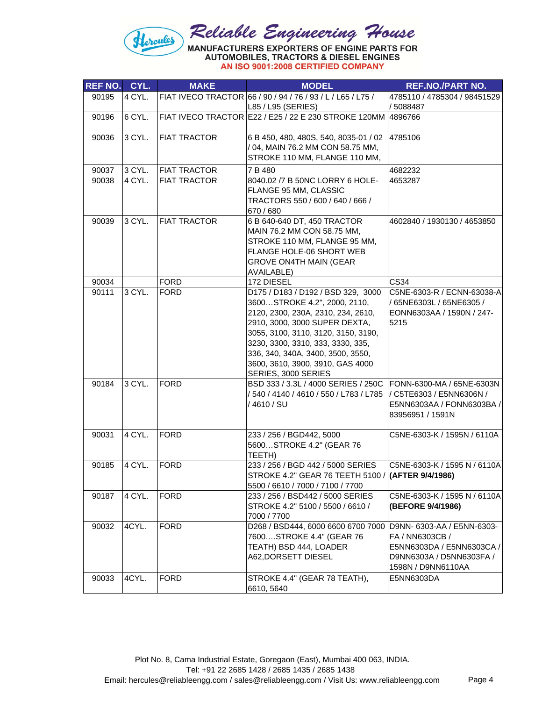## Reliable Engineering House<br>MANUFACTURERS EXPORTERS OF ENGINE PARTS FOR<br>AUTOMOBILES, TRACTORS & DIESEL ENGINES Hercules

| <b>REF NO.</b> | CYL.   | <b>MAKE</b>         | <b>MODEL</b>                                                         | <b>REF.NO./PART NO.</b>                        |
|----------------|--------|---------------------|----------------------------------------------------------------------|------------------------------------------------|
| 90195          | 4 CYL. |                     | FIAT IVECO TRACTOR 66 / 90 / 94 / 76 / 93 / L / L65 / L75 /          | 4785110 / 4785304 / 98451529                   |
|                |        |                     | L85 / L95 (SERIES)                                                   | / 5088487                                      |
| 90196          | 6 CYL. |                     | FIAT IVECO TRACTOR E22 / E25 / 22 E 230 STROKE 120MM 4896766         |                                                |
|                |        |                     |                                                                      |                                                |
| 90036          | 3 CYL. | <b>FIAT TRACTOR</b> | 6 B 450, 480, 480S, 540, 8035-01 / 02                                | 4785106                                        |
|                |        |                     | / 04, MAIN 76.2 MM CON 58.75 MM,<br>STROKE 110 MM, FLANGE 110 MM,    |                                                |
|                |        |                     |                                                                      |                                                |
| 90037          | 3 CYL. | <b>FIAT TRACTOR</b> | 7 B 480                                                              | 4682232                                        |
| 90038          | 4 CYL. | <b>FIAT TRACTOR</b> | 8040.02 /7 B 50NC LORRY 6 HOLE-<br>FLANGE 95 MM, CLASSIC             | 4653287                                        |
|                |        |                     | TRACTORS 550 / 600 / 640 / 666 /                                     |                                                |
|                |        |                     | 670 / 680                                                            |                                                |
| 90039          | 3 CYL. | <b>FIAT TRACTOR</b> | 6 B 640-640 DT, 450 TRACTOR                                          | 4602840 / 1930130 / 4653850                    |
|                |        |                     | MAIN 76.2 MM CON 58.75 MM,                                           |                                                |
|                |        |                     | STROKE 110 MM, FLANGE 95 MM,                                         |                                                |
|                |        |                     | FLANGE HOLE-06 SHORT WEB                                             |                                                |
|                |        |                     | <b>GROVE ON4TH MAIN (GEAR</b>                                        |                                                |
|                |        |                     | AVAILABLE)                                                           |                                                |
| 90034          |        | <b>FORD</b>         | 172 DIESEL                                                           | <b>CS34</b>                                    |
| 90111          | 3 CYL. | <b>FORD</b>         | D175 / D183 / D192 / BSD 329, 3000                                   | C5NE-6303-R / ECNN-63038-A                     |
|                |        |                     | 3600STROKE 4.2", 2000, 2110,                                         | / 65NE6303L / 65NE6305 /                       |
|                |        |                     | 2120, 2300, 230A, 2310, 234, 2610,                                   | EONN6303AA / 1590N / 247-                      |
|                |        |                     | 2910, 3000, 3000 SUPER DEXTA,<br>3055, 3100, 3110, 3120, 3150, 3190, | 5215                                           |
|                |        |                     | 3230, 3300, 3310, 333, 3330, 335,                                    |                                                |
|                |        |                     | 336, 340, 340A, 3400, 3500, 3550,                                    |                                                |
|                |        |                     | 3600, 3610, 3900, 3910, GAS 4000                                     |                                                |
|                |        |                     | SERIES, 3000 SERIES                                                  |                                                |
| 90184          | 3 CYL. | FORD                | BSD 333 / 3.3L / 4000 SERIES / 250C FONN-6300-MA / 65NE-6303N        |                                                |
|                |        |                     | / 540 / 4140 / 4610 / 550 / L783 / L785                              | / C5TE6303 / E5NN6306N /                       |
|                |        |                     | /4610/SU                                                             | E5NN6303AA / FONN6303BA /                      |
|                |        |                     |                                                                      | 83956951 / 1591N                               |
|                | 4 CYL. |                     |                                                                      |                                                |
| 90031          |        | FORD                | 233 / 256 / BGD442, 5000<br>5600STROKE 4.2" (GEAR 76                 | C5NE-6303-K / 1595N / 6110A                    |
|                |        |                     | TEETH)                                                               |                                                |
| 90185          | 4 CYL. | FORD                | 233 / 256 / BGD 442 / 5000 SERIES                                    | C5NE-6303-K / 1595 N / 6110A                   |
|                |        |                     | STROKE 4.2" GEAR 76 TEETH 5100 / (AFTER 9/4/1986)                    |                                                |
|                |        |                     | 5500 / 6610 / 7000 / 7100 / 7700                                     |                                                |
| 90187          | 4 CYL. | <b>FORD</b>         | 233 / 256 / BSD442 / 5000 SERIES                                     | C5NE-6303-K / 1595 N / 6110A                   |
|                |        |                     | STROKE 4.2" 5100 / 5500 / 6610 /                                     | (BEFORE 9/4/1986)                              |
|                |        |                     | 7000 / 7700                                                          |                                                |
| 90032          | 4CYL.  | <b>FORD</b>         | D268 / BSD444, 6000 6600 6700 7000                                   | D9NN- 6303-AA / E5NN-6303-                     |
|                |        |                     | 7600STROKE 4.4" (GEAR 76                                             | FA / NN6303CB /                                |
|                |        |                     | TEATH) BSD 444, LOADER<br>A62, DORSETT DIESEL                        | E5NN6303DA / E5NN6303CA /                      |
|                |        |                     |                                                                      | D9NN6303A / D5NN6303FA /<br>1598N / D9NN6110AA |
| 90033          | 4CYL.  | <b>FORD</b>         | STROKE 4.4" (GEAR 78 TEATH),                                         | E5NN6303DA                                     |
|                |        |                     | 6610, 5640                                                           |                                                |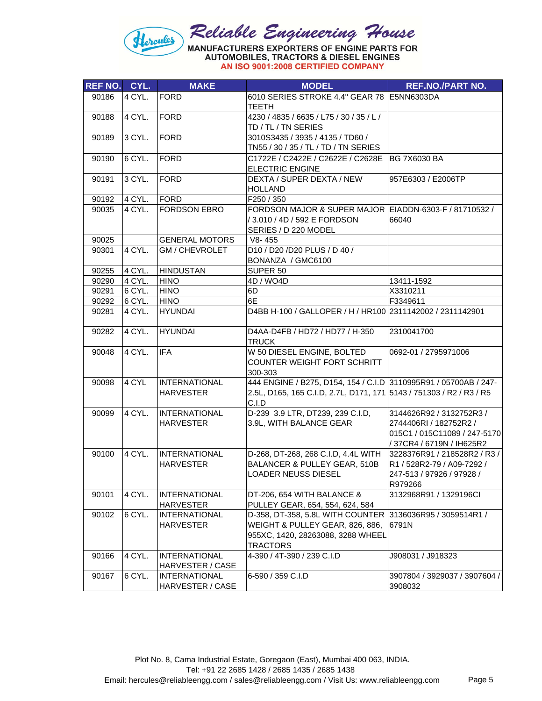

| <b>REF NO. CYL.</b> |        | <b>MAKE</b>           | <b>MODEL</b>                                                        | <b>REF.NO./PART NO.</b>       |
|---------------------|--------|-----------------------|---------------------------------------------------------------------|-------------------------------|
| 90186               | 4 CYL. | <b>FORD</b>           | 6010 SERIES STROKE 4.4" GEAR 78 E5NN6303DA                          |                               |
|                     |        |                       | <b>TEETH</b>                                                        |                               |
| 90188               | 4 CYL. | FORD                  | 4230 / 4835 / 6635 / L75 / 30 / 35 / L /                            |                               |
|                     |        |                       | TD / TL / TN SERIES                                                 |                               |
| 90189               | 3 CYL. | <b>FORD</b>           | 3010S3435 / 3935 / 4135 / TD60 /                                    |                               |
|                     |        |                       | TN55 / 30 / 35 / TL / TD / TN SERIES                                |                               |
| 90190               | 6 CYL. | FORD                  | C1722E / C2422E / C2622E / C2628E                                   | <b>BG 7X6030 BA</b>           |
|                     |        |                       | <b>ELECTRIC ENGINE</b>                                              |                               |
| 90191               | 3 CYL. | FORD                  | DEXTA / SUPER DEXTA / NEW                                           | 957E6303 / E2006TP            |
|                     |        |                       | <b>HOLLAND</b>                                                      |                               |
| 90192               | 4 CYL. | <b>FORD</b>           | F250 / 350                                                          |                               |
| 90035               | 4 CYL. | <b>FORDSON EBRO</b>   | FORDSON MAJOR & SUPER MAJOR EIADDN-6303-F / 81710532 /              |                               |
|                     |        |                       | / 3.010 / 4D / 592 E FORDSON                                        | 66040                         |
|                     |        |                       | SERIES / D 220 MODEL                                                |                               |
| 90025               |        | <b>GENERAL MOTORS</b> | V8-455                                                              |                               |
| 90301               | 4 CYL. | GM / CHEVROLET        | D10 / D20 /D20 PLUS / D 40 /                                        |                               |
|                     |        |                       | BONANZA / GMC6100                                                   |                               |
| 90255               | 4 CYL. | <b>HINDUSTAN</b>      | SUPER 50                                                            |                               |
| 90290               | 4 CYL. | <b>HINO</b>           | 4D / WO4D                                                           | 13411-1592                    |
| 90291               | 6 CYL. | <b>HINO</b>           | 6D                                                                  | X3310211                      |
| 90292               | 6 CYL. | <b>HINO</b>           | 6E<br>D4BB H-100 / GALLOPER / H / HR100 2311142002 / 2311142901     | F3349611                      |
| 90281               | 4 CYL. | <b>HYUNDAI</b>        |                                                                     |                               |
| 90282               | 4 CYL. | <b>HYUNDAI</b>        | D4AA-D4FB / HD72 / HD77 / H-350                                     | 2310041700                    |
|                     |        |                       | <b>TRUCK</b>                                                        |                               |
| 90048               | 4 CYL. | <b>IFA</b>            | W 50 DIESEL ENGINE, BOLTED                                          | 0692-01 / 2795971006          |
|                     |        |                       | COUNTER WEIGHT FORT SCHRITT                                         |                               |
|                     |        |                       | 300-303                                                             |                               |
| 90098               | 4 CYL  | <b>INTERNATIONAL</b>  | 444 ENGINE / B275, D154, 154 / C.I.D 3110995R91 / 05700AB / 247-    |                               |
|                     |        | <b>HARVESTER</b>      | 2.5L, D165, 165 C.I.D, 2.7L, D171, 171 5143 / 751303 / R2 / R3 / R5 |                               |
| 90099               | 4 CYL. | <b>INTERNATIONAL</b>  | C.I.D<br>D-239 3.9 LTR, DT239, 239 C.I.D,                           | 3144626R92 / 3132752R3 /      |
|                     |        | <b>HARVESTER</b>      |                                                                     | 2744406RI / 182752R2 /        |
|                     |        |                       | 3.9L, WITH BALANCE GEAR                                             | 015C1 / 015C11089 / 247-5170  |
|                     |        |                       |                                                                     | / 37CR4 / 6719N / IH625R2     |
| 90100               | 4 CYL. | <b>INTERNATIONAL</b>  | D-268, DT-268, 268 C.I.D, 4.4L WITH 3228376R91 / 218528R2 / R3 /    |                               |
|                     |        | <b>HARVESTER</b>      | BALANCER & PULLEY GEAR, 510B                                        | R1 / 528R2-79 / A09-7292 /    |
|                     |        |                       | LOADER NEUSS DIESEL                                                 | 247-513 / 97926 / 97928 /     |
|                     |        |                       |                                                                     | R979266                       |
| 90101               | 4 CYL. | <b>INTERNATIONAL</b>  | DT-206, 654 WITH BALANCE &                                          | 3132968R91 / 1329196Cl        |
|                     |        | <b>HARVESTER</b>      | PULLEY GEAR, 654, 554, 624, 584                                     |                               |
| 90102               | 6 CYL. | <b>INTERNATIONAL</b>  | D-358, DT-358, 5.8L WITH COUNTER                                    | 3136036R95 / 3059514R1 /      |
|                     |        | <b>HARVESTER</b>      | WEIGHT & PULLEY GEAR, 826, 886,                                     | 6791N                         |
|                     |        |                       | 955XC, 1420, 28263088, 3288 WHEEL                                   |                               |
|                     |        |                       | <b>TRACTORS</b>                                                     |                               |
| 90166               | 4 CYL. | <b>INTERNATIONAL</b>  | 4-390 / 4T-390 / 239 C.I.D                                          | J908031 / J918323             |
|                     |        | HARVESTER / CASE      |                                                                     |                               |
| 90167               | 6 CYL. | <b>INTERNATIONAL</b>  | 6-590 / 359 C.I.D                                                   | 3907804 / 3929037 / 3907604 / |
|                     |        | HARVESTER / CASE      |                                                                     | 3908032                       |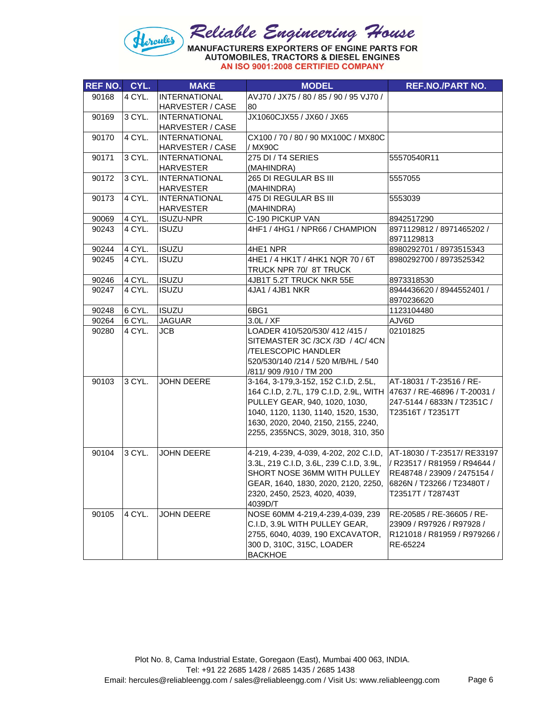

| <b>REF NO. CYL.</b> |        | <b>MAKE</b>             | <b>MODEL</b>                                                        | <b>REF.NO./PART NO.</b>                 |
|---------------------|--------|-------------------------|---------------------------------------------------------------------|-----------------------------------------|
| 90168               | 4 CYL. | <b>INTERNATIONAL</b>    | AVJ70 / JX75 / 80 / 85 / 90 / 95 VJ70 /                             |                                         |
|                     |        | <b>HARVESTER / CASE</b> | 80                                                                  |                                         |
| 90169               | 3 CYL. | <b>INTERNATIONAL</b>    | JX1060CJX55 / JX60 / JX65                                           |                                         |
|                     |        | HARVESTER / CASE        |                                                                     |                                         |
| 90170               | 4 CYL. | <b>INTERNATIONAL</b>    | CX100 / 70 / 80 / 90 MX100C / MX80C                                 |                                         |
|                     |        | <b>HARVESTER / CASE</b> | / MX90C                                                             |                                         |
| 90171               | 3 CYL. | <b>INTERNATIONAL</b>    | 275 DI / T4 SERIES                                                  | 55570540R11                             |
|                     |        | <b>HARVESTER</b>        | (MAHINDRA)                                                          |                                         |
| 90172               | 3 CYL. | <b>INTERNATIONAL</b>    | 265 DI REGULAR BS III                                               | 5557055                                 |
|                     |        | <b>HARVESTER</b>        | (MAHINDRA)                                                          |                                         |
| 90173               | 4 CYL. | <b>INTERNATIONAL</b>    | 475 DI REGULAR BS III                                               | 5553039                                 |
|                     |        | <b>HARVESTER</b>        | (MAHINDRA)                                                          |                                         |
| 90069               | 4 CYL. | <b>ISUZU-NPR</b>        | C-190 PICKUP VAN                                                    | 8942517290                              |
| 90243               | 4 CYL. | <b>ISUZU</b>            | 4HF1 / 4HG1 / NPR66 / CHAMPION                                      | 8971129812 / 8971465202 /<br>8971129813 |
| 90244               | 4 CYL. | <b>ISUZU</b>            | 4HE1 NPR                                                            | 8980292701 / 8973515343                 |
| 90245               | 4 CYL. | <b>ISUZU</b>            | 4HE1 / 4 HK1T / 4HK1 NQR 70 / 6T                                    | 8980292700 / 8973525342                 |
|                     |        |                         | TRUCK NPR 70/ 8T TRUCK                                              |                                         |
| 90246               | 4 CYL. | <b>ISUZU</b>            | 4JB1T 5.2T TRUCK NKR 55E                                            | 8973318530                              |
| 90247               | 4 CYL. | <b>ISUZU</b>            | 4JA1 / 4JB1 NKR                                                     | 8944436620 / 8944552401 /<br>8970236620 |
| 90248               | 6 CYL. | <b>ISUZU</b>            | 6BG1                                                                | 1123104480                              |
| 90264               | 6 CYL. | <b>JAGUAR</b>           | 3.0 L / XF                                                          | AJV6D                                   |
| 90280               | 4 CYL. | <b>JCB</b>              | LOADER 410/520/530/ 412 /415 /                                      | 02101825                                |
|                     |        |                         | SITEMASTER 3C /3CX /3D / 4C/ 4CN                                    |                                         |
|                     |        |                         | <b>/TELESCOPIC HANDLER</b>                                          |                                         |
|                     |        |                         | 520/530/140 /214 / 520 M/B/HL / 540                                 |                                         |
|                     |        |                         | /811/909 /910 / TM 200                                              |                                         |
| 90103               | 3 CYL. | JOHN DEERE              | 3-164, 3-179, 3-152, 152 C.I.D, 2.5L,                               | AT-18031 / T-23516 / RE-                |
|                     |        |                         | 164 C.I.D, 2.7L, 179 C.I.D, 2.9L, WITH 47637 / RE-46896 / T-20031 / |                                         |
|                     |        |                         | PULLEY GEAR, 940, 1020, 1030,                                       | 247-5144 / 6833N / T2351C /             |
|                     |        |                         | 1040, 1120, 1130, 1140, 1520, 1530,                                 | T23516T / T23517T                       |
|                     |        |                         | 1630, 2020, 2040, 2150, 2155, 2240,                                 |                                         |
|                     |        |                         | 2255, 2355NCS, 3029, 3018, 310, 350                                 |                                         |
| 90104               | 3 CYL. | <b>JOHN DEERE</b>       | 4-219, 4-239, 4-039, 4-202, 202 C.I.D, AT-18030 / T-23517/ RE33197  |                                         |
|                     |        |                         | 3.3L, 219 C.I.D, 3.6L, 239 C.I.D, 3.9L,                             | / R23517 / R81959 / R94644 /            |
|                     |        |                         | SHORT NOSE 36MM WITH PULLEY                                         | RE48748 / 23909 / 2475154 /             |
|                     |        |                         | GEAR, 1640, 1830, 2020, 2120, 2250,                                 | 6826N / T23266 / T23480T /              |
|                     |        |                         | 2320, 2450, 2523, 4020, 4039,                                       | T23517T / T28743T                       |
|                     |        |                         | 4039D/T                                                             |                                         |
| 90105               | 4 CYL. | <b>JOHN DEERE</b>       | NOSE 60MM 4-219,4-239,4-039, 239                                    | RE-20585 / RE-36605 / RE-               |
|                     |        |                         | C.I.D, 3.9L WITH PULLEY GEAR,                                       | 23909 / R97926 / R97928 /               |
|                     |        |                         | 2755, 6040, 4039, 190 EXCAVATOR,                                    | R121018 / R81959 / R979266 /            |
|                     |        |                         | 300 D, 310C, 315C, LOADER                                           | RE-65224                                |
|                     |        |                         | <b>BACKHOE</b>                                                      |                                         |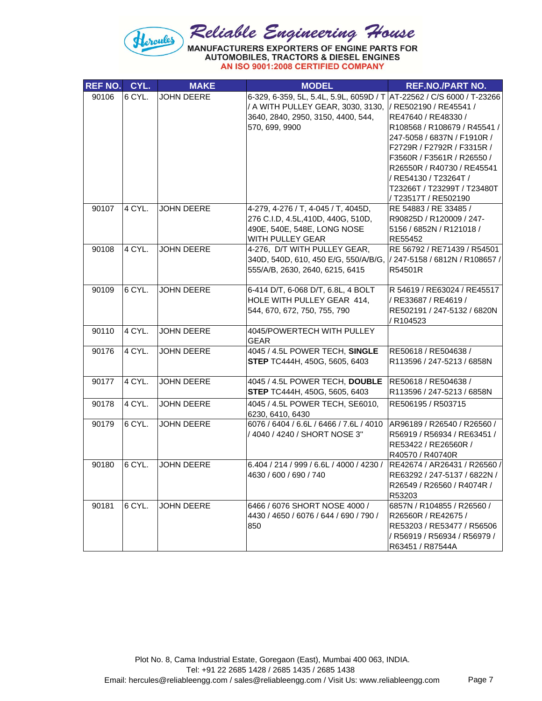

| <b>REF NO.</b> | CYL.     | <b>MAKE</b>       | <b>MODEL</b>                                                                                                                                                       | <b>REF.NO./PART NO.</b>                                                                                                                                                                                                                                                                |
|----------------|----------|-------------------|--------------------------------------------------------------------------------------------------------------------------------------------------------------------|----------------------------------------------------------------------------------------------------------------------------------------------------------------------------------------------------------------------------------------------------------------------------------------|
| 90106          | 6 CYL.   | <b>JOHN DEERE</b> | 6-329, 6-359, 5L, 5.4L, 5.9L, 6059D / T AT-22562 / C/S 6000 / T-23266<br>/ A WITH PULLEY GEAR, 3030, 3130,<br>3640, 2840, 2950, 3150, 4400, 544,<br>570, 699, 9900 | / RE502190 / RE45541 /<br>RE47640 / RE48330 /<br>R108568 / R108679 / R45541 /<br>247-5058 / 6837N / F1910R /<br>F2729R / F2792R / F3315R /<br>F3560R / F3561R / R26550 /<br>R26550R / R40730 / RE45541<br>/ RE54130 / T23264T /<br>T23266T / T23299T / T23480T<br>/ T23517T / RE502190 |
| 90107          | 4 CYL.   | <b>JOHN DEERE</b> | 4-279, 4-276 / T, 4-045 / T, 4045D,<br>276 C.I.D, 4.5L, 410D, 440G, 510D,<br>490E, 540E, 548E, LONG NOSE<br>WITH PULLEY GEAR                                       | RE 54883 / RE 33485 /<br>R90825D / R120009 / 247-<br>5156 / 6852N / R121018 /<br>RE55452                                                                                                                                                                                               |
| 90108          | 4 CYL.   | <b>JOHN DEERE</b> | 4-276, D/T WITH PULLEY GEAR,<br>340D, 540D, 610, 450 E/G, 550/A/B/G,<br>555/A/B, 2630, 2640, 6215, 6415                                                            | RE 56792 / RE71439 / R54501<br>/ 247-5158 / 6812N / R108657 /<br>R54501R                                                                                                                                                                                                               |
| 90109          | 6 CYL.   | <b>JOHN DEERE</b> | 6-414 D/T, 6-068 D/T, 6.8L, 4 BOLT<br>HOLE WITH PULLEY GEAR 414,<br>544, 670, 672, 750, 755, 790                                                                   | R 54619 / RE63024 / RE45517<br>/ RE33687 / RE4619 /<br>RE502191 / 247-5132 / 6820N<br>R104523                                                                                                                                                                                          |
| 90110          | 4 CYL.   | <b>JOHN DEERE</b> | 4045/POWERTECH WITH PULLEY<br><b>GEAR</b>                                                                                                                          |                                                                                                                                                                                                                                                                                        |
| 90176          | 4 CYL.   | <b>JOHN DEERE</b> | 4045 / 4.5L POWER TECH, SINGLE<br>STEP TC444H, 450G, 5605, 6403                                                                                                    | RE50618 / RE504638 /<br>R113596 / 247-5213 / 6858N                                                                                                                                                                                                                                     |
| 90177          | 4 CYL.   | <b>JOHN DEERE</b> | 4045 / 4.5L POWER TECH, DOUBLE<br>STEP TC444H, 450G, 5605, 6403                                                                                                    | RE50618 / RE504638 /<br>R113596 / 247-5213 / 6858N                                                                                                                                                                                                                                     |
| 90178          | $4$ CYL. | <b>JOHN DEERE</b> | 4045 / 4.5L POWER TECH, SE6010,<br>6230, 6410, 6430                                                                                                                | RE506195 / R503715                                                                                                                                                                                                                                                                     |
| 90179          | 6 CYL.   | <b>JOHN DEERE</b> | 6076 / 6404 / 6.6L / 6466 / 7.6L / 4010<br>/ 4040 / 4240 / SHORT NOSE 3"                                                                                           | AR96189 / R26540 / R26560 /<br>R56919 / R56934 / RE63451 /<br>RE53422 / RE26560R /<br>R40570 / R40740R                                                                                                                                                                                 |
| 90180          | 6 CYL.   | <b>JOHN DEERE</b> | 6.404 / 214 / 999 / 6.6L / 4000 / 4230 /<br>4630 / 600 / 690 / 740                                                                                                 | RE42674 / AR26431 / R26560 /<br>RE63292 / 247-5137 / 6822N /<br>R26549 / R26560 / R4074R /<br>R53203                                                                                                                                                                                   |
| 90181          | 6 CYL.   | <b>JOHN DEERE</b> | 6466 / 6076 SHORT NOSE 4000 /<br>4430 / 4650 / 6076 / 644 / 690 / 790 /<br>850                                                                                     | 6857N / R104855 / R26560 /<br>R26560R / RE42675 /<br>RE53203 / RE53477 / R56506<br>/ R56919 / R56934 / R56979 /<br>R63451 / R87544A                                                                                                                                                    |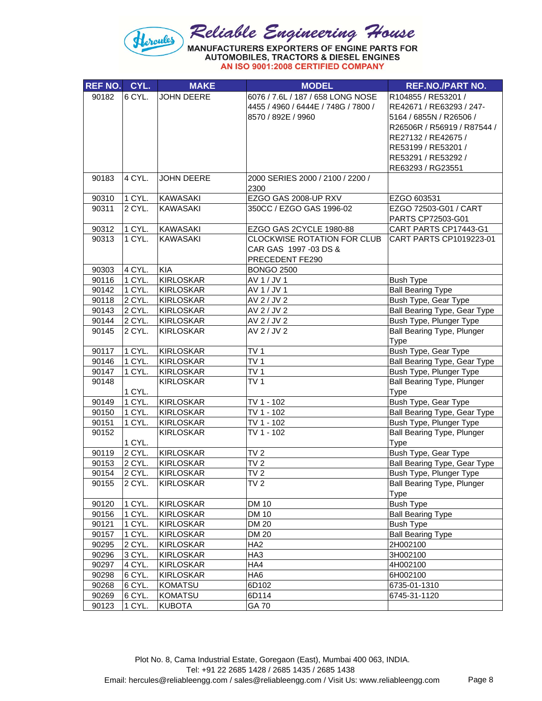

| REF NO. CYL. |                  | <b>MAKE</b>       | <b>MODEL</b>                             | <b>REF.NO./PART NO.</b>                              |
|--------------|------------------|-------------------|------------------------------------------|------------------------------------------------------|
| 90182        | 6 CYL.           | <b>JOHN DEERE</b> | 6076 / 7.6L / 187 / 658 LONG NOSE        | R104855 / RE53201 /                                  |
|              |                  |                   | 4455 / 4960 / 6444E / 748G / 7800 /      | RE42671 / RE63293 / 247-                             |
|              |                  |                   | 8570 / 892E / 9960                       | 5164 / 6855N / R26506 /                              |
|              |                  |                   |                                          | R26506R / R56919 / R87544 /                          |
|              |                  |                   |                                          | RE27132 / RE42675 /                                  |
|              |                  |                   |                                          | RE53199 / RE53201 /                                  |
|              |                  |                   |                                          | RE53291 / RE53292 /                                  |
|              |                  |                   |                                          | RE63293 / RG23551                                    |
| 90183        | 4 CYL.           | <b>JOHN DEERE</b> | 2000 SERIES 2000 / 2100 / 2200 /         |                                                      |
|              |                  |                   | 2300                                     |                                                      |
| 90310        | 1 CYL.           | <b>KAWASAKI</b>   | EZGO GAS 2008-UP RXV                     | EZGO 603531                                          |
| 90311        | 2 CYL.           | <b>KAWASAKI</b>   | 350CC / EZGO GAS 1996-02                 | EZGO 72503-G01 / CART                                |
|              |                  |                   |                                          | PARTS CP72503-G01                                    |
| 90312        | 1 CYL.           | <b>KAWASAKI</b>   | EZGO GAS 2CYCLE 1980-88                  | CART PARTS CP17443-G1                                |
| 90313        | 1 CYL.           | <b>KAWASAKI</b>   | <b>CLOCKWISE ROTATION FOR CLUB</b>       | CART PARTS CP1019223-01                              |
|              |                  |                   | CAR GAS 1997 -03 DS &<br>PRECEDENT FE290 |                                                      |
| 90303        | 4 CYL.           | KIA               | <b>BONGO 2500</b>                        |                                                      |
| 90116        | 1 CYL.           | <b>KIRLOSKAR</b>  | AV 1 / JV 1                              | <b>Bush Type</b>                                     |
| 90142        | 1 CYL.           | <b>KIRLOSKAR</b>  | AV 1 / JV 1                              | <b>Ball Bearing Type</b>                             |
| 90118        | 2 CYL.           | <b>KIRLOSKAR</b>  | AV 2 / JV 2                              | Bush Type, Gear Type                                 |
| 90143        | 2 CYL.           | <b>KIRLOSKAR</b>  | AV 2 / JV 2                              | Ball Bearing Type, Gear Type                         |
| 90144        | 2 CYL.           | <b>KIRLOSKAR</b>  | AV 2 / JV 2                              | Bush Type, Plunger Type                              |
| 90145        | 2 CYL.           | <b>KIRLOSKAR</b>  | AV 2 / JV 2                              | <b>Ball Bearing Type, Plunger</b>                    |
|              |                  |                   |                                          | Type                                                 |
| 90117        | 1 CYL.           | <b>KIRLOSKAR</b>  | TV <sub>1</sub>                          | Bush Type, Gear Type                                 |
| 90146        | 1 CYL.           | <b>KIRLOSKAR</b>  | TV <sub>1</sub>                          | Ball Bearing Type, Gear Type                         |
| 90147        | 1 CYL.           | <b>KIRLOSKAR</b>  | TV <sub>1</sub>                          | Bush Type, Plunger Type                              |
| 90148        |                  | <b>KIRLOSKAR</b>  | $\overline{T}V$ 1                        | <b>Ball Bearing Type, Plunger</b>                    |
|              | 1 CYL.           |                   |                                          | Type                                                 |
| 90149        | 1 CYL.           | <b>KIRLOSKAR</b>  | TV 1 - 102                               | Bush Type, Gear Type                                 |
| 90150        | 1 CYL.           | <b>KIRLOSKAR</b>  | TV 1 - 102                               | <b>Ball Bearing Type, Gear Type</b>                  |
| 90151        | 1 CYL.           | <b>KIRLOSKAR</b>  | $\overline{TV}$ 1 - 102                  | Bush Type, Plunger Type                              |
| 90152        |                  | <b>KIRLOSKAR</b>  | TV 1 - 102                               | <b>Ball Bearing Type, Plunger</b>                    |
| 90119        | 1 CYL.<br>2 CYL. | <b>KIRLOSKAR</b>  | TV <sub>2</sub>                          | Type                                                 |
| 90153        | 2 CYL.           | <b>KIRLOSKAR</b>  | TV <sub>2</sub>                          | Bush Type, Gear Type<br>Ball Bearing Type, Gear Type |
| 90154        | 2 CYL            | <b>KIRLOSKAR</b>  | TV <sub>2</sub>                          | Bush Type, Plunger Type                              |
| 90155        | 2 CYL.           | <b>KIRLOSKAR</b>  | TV <sub>2</sub>                          | Ball Bearing Type, Plunger                           |
|              |                  |                   |                                          | Type                                                 |
| 90120        | 1 CYL.           | <b>KIRLOSKAR</b>  | <b>DM 10</b>                             | <b>Bush Type</b>                                     |
| 90156        | 1 CYL.           | <b>KIRLOSKAR</b>  | <b>DM 10</b>                             | <b>Ball Bearing Type</b>                             |
| 90121        | 1 CYL.           | <b>KIRLOSKAR</b>  | DM 20                                    | <b>Bush Type</b>                                     |
| 90157        | 1 CYL.           | <b>KIRLOSKAR</b>  | <b>DM 20</b>                             | <b>Ball Bearing Type</b>                             |
| 90295        | 2 CYL.           | <b>KIRLOSKAR</b>  | HA <sub>2</sub>                          | 2H002100                                             |
| 90296        | 3 CYL.           | <b>KIRLOSKAR</b>  | HA <sub>3</sub>                          | 3H002100                                             |
| 90297        | 4 CYL.           | <b>KIRLOSKAR</b>  | HA4                                      | 4H002100                                             |
| 90298        | 6 CYL.           | KIRLOSKAR         | HA6                                      | 6H002100                                             |
| 90268        | 6 CYL.           | KOMATSU           | 6D102                                    | 6735-01-1310                                         |
| 90269        | 6 CYL.           | KOMATSU           | 6D114                                    | 6745-31-1120                                         |
| 90123        | 1 CYL.           | <b>KUBOTA</b>     | GA 70                                    |                                                      |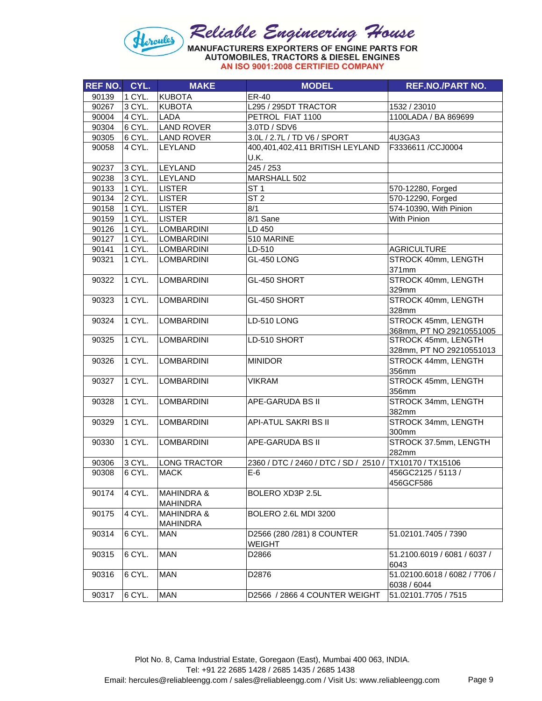## Reliable Engineering House<br>MANUFACTURERS EXPORTERS OF ENGINE PARTS FOR<br>AUTOMOBILES, TRACTORS & DIESEL ENGINES Hercules

|  |  | AN ISO 9001:2008 CERTIFIED COMPANY |  |
|--|--|------------------------------------|--|
|--|--|------------------------------------|--|

| <b>REF NO.</b> | CYL.                | <b>MAKE</b>           | <b>MODEL</b>                                            | <b>REF.NO./PART NO.</b>       |
|----------------|---------------------|-----------------------|---------------------------------------------------------|-------------------------------|
| 90139          | 1 CYL.              | <b>KUBOTA</b>         | ER-40                                                   |                               |
| 90267          | 3 CYL.              | KUBOTA                | L295 / 295DT TRACTOR                                    | 1532 / 23010                  |
| 90004          | 4 CYL.              | <b>LADA</b>           | PETROL FIAT 1100                                        | 1100LADA / BA 869699          |
| 90304          | 6 CYL.              | <b>LAND ROVER</b>     | 3.0TD / SDV6                                            |                               |
| 90305          | 6 CYL.              | <b>LAND ROVER</b>     | 3.0L / 2.7L / TD V6 / SPORT                             | 4U3GA3                        |
| 90058          | 4 CYL.              | <b>LEYLAND</b>        | 400,401,402,411 BRITISH LEYLAND                         | F3336611/CCJ0004              |
|                |                     |                       | U.K.                                                    |                               |
| 90237          | 3 CYL.              | LEYLAND               | 245 / 253                                               |                               |
| 90238          | 3 CYL.              | LEYLAND               | MARSHALL 502                                            |                               |
| 90133          | 1 CYL.              | <b>LISTER</b>         | ST <sub>1</sub>                                         | 570-12280, Forged             |
| 90134          | $\overline{2}$ CYL. | <b>LISTER</b>         | ST <sub>2</sub>                                         | 570-12290, Forged             |
| 90158          | 1 CYL.              | <b>LISTER</b>         | 8/1                                                     | 574-10390, With Pinion        |
| 90159          | 1 CYL.              | <b>LISTER</b>         | 8/1 Sane                                                | With Pinion                   |
| 90126          | 1 CYL.              | <b>LOMBARDINI</b>     | LD 450                                                  |                               |
| 90127          | 1 CYL.              | <b>LOMBARDINI</b>     | 510 MARINE                                              |                               |
| 90141          | 1 CYL.              | <b>LOMBARDINI</b>     | LD-510                                                  | <b>AGRICULTURE</b>            |
| 90321          | 1 CYL.              | <b>LOMBARDINI</b>     | GL-450 LONG                                             | STROCK 40mm, LENGTH           |
|                |                     |                       |                                                         | 371mm                         |
| 90322          | 1 CYL.              | <b>LOMBARDINI</b>     | GL-450 SHORT                                            | STROCK 40mm, LENGTH           |
|                |                     |                       |                                                         | 329mm                         |
| 90323          | 1 CYL.              | <b>LOMBARDINI</b>     | GL-450 SHORT                                            | STROCK 40mm, LENGTH           |
|                |                     |                       |                                                         | 328mm                         |
| 90324          | 1 CYL.              | <b>LOMBARDINI</b>     | LD-510 LONG                                             | STROCK 45mm, LENGTH           |
|                |                     |                       |                                                         | 368mm, PT NO 29210551005      |
| 90325          | 1 CYL.              | <b>LOMBARDINI</b>     | LD-510 SHORT                                            | STROCK 45mm, LENGTH           |
|                |                     |                       |                                                         | 328mm, PT NO 29210551013      |
| 90326          | 1 CYL.              | <b>LOMBARDINI</b>     | <b>MINIDOR</b>                                          | STROCK 44mm, LENGTH           |
|                |                     |                       |                                                         | 356mm                         |
| 90327          | 1 CYL.              | <b>LOMBARDINI</b>     | <b>VIKRAM</b>                                           | STROCK 45mm, LENGTH           |
|                |                     |                       |                                                         | 356mm                         |
| 90328          | 1 CYL.              | <b>LOMBARDINI</b>     | APE-GARUDA BS II                                        | STROCK 34mm, LENGTH           |
|                |                     |                       |                                                         | 382mm                         |
| 90329          | 1 CYL.              | <b>LOMBARDINI</b>     | API-ATUL SAKRI BS II                                    | STROCK 34mm, LENGTH           |
|                |                     |                       |                                                         | 300mm                         |
| 90330          | 1 CYL.              | <b>LOMBARDINI</b>     | APE-GARUDA BS II                                        | STROCK 37.5mm, LENGTH         |
|                |                     |                       |                                                         | 282mm                         |
| 90306          | 3 CYL.              | <b>LONG TRACTOR</b>   | 2360 / DTC / 2460 / DTC / SD / 2510 / TX10170 / TX15106 |                               |
| 90308          | 6 CYL.              | <b>MACK</b>           | $E-6$                                                   | 456GC2125 / 5113 /            |
|                |                     |                       |                                                         | 456GCF586                     |
| 90174          | 4 CYL.              | <b>MAHINDRA &amp;</b> | BOLERO XD3P 2.5L                                        |                               |
|                |                     | <b>MAHINDRA</b>       |                                                         |                               |
| 90175          | 4 CYL.              | <b>MAHINDRA &amp;</b> | BOLERO 2.6L MDI 3200                                    |                               |
|                |                     | <b>MAHINDRA</b>       |                                                         |                               |
| 90314          | 6 CYL.              | <b>MAN</b>            | D2566 (280 /281) 8 COUNTER                              | 51.02101.7405 / 7390          |
|                |                     |                       | <b>WEIGHT</b>                                           |                               |
| 90315          | 6 CYL.              | <b>MAN</b>            | D2866                                                   | 51.2100.6019 / 6081 / 6037 /  |
|                |                     |                       |                                                         | 6043                          |
| 90316          | 6 CYL.              | <b>MAN</b>            | D2876                                                   | 51.02100.6018 / 6082 / 7706 / |
|                |                     |                       |                                                         | 6038 / 6044                   |
| 90317          | 6 CYL.              | <b>MAN</b>            | D2566 / 2866 4 COUNTER WEIGHT                           | 51.02101.7705 / 7515          |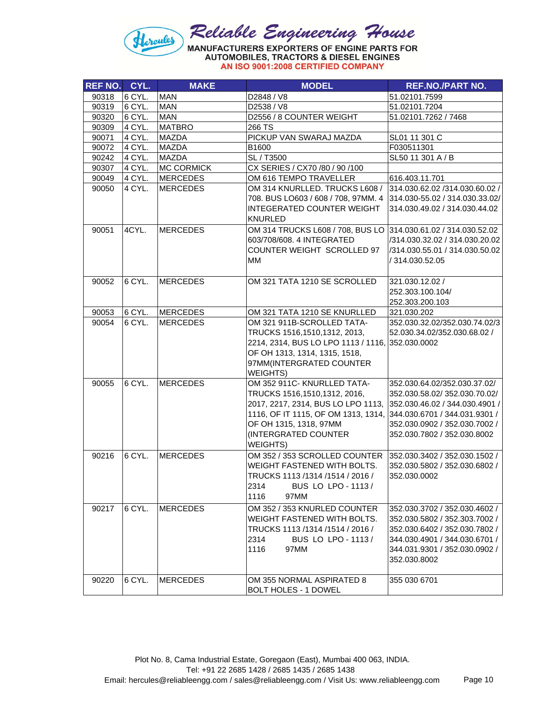

|  |  | AN ISO 9001:2008 CERTIFIED COMPANY |  |
|--|--|------------------------------------|--|
|  |  |                                    |  |

| REF NO. CYL. |        | <b>MAKE</b>       | <b>MODEL</b>                                                      | <b>REF.NO./PART NO.</b>        |
|--------------|--------|-------------------|-------------------------------------------------------------------|--------------------------------|
| 90318        | 6 CYL. | <b>MAN</b>        | D2848 / V8                                                        | 51.02101.7599                  |
| 90319        | 6 CYL. | <b>MAN</b>        | D2538 / V8                                                        | 51.02101.7204                  |
| 90320        | 6 CYL. | <b>MAN</b>        | D2556 / 8 COUNTER WEIGHT                                          | 51.02101.7262 / 7468           |
| 90309        | 4 CYL. | <b>MATBRO</b>     | 266 TS                                                            |                                |
| 90071        | 4 CYL. | <b>MAZDA</b>      | PICKUP VAN SWARAJ MAZDA                                           | SL01 11 301 C                  |
| 90072        | 4 CYL. | <b>MAZDA</b>      | B1600                                                             | F030511301                     |
| 90242        | 4 CYL. | <b>MAZDA</b>      | SL / T3500                                                        | SL50 11 301 A / B              |
| 90307        | 4 CYL. | <b>MC CORMICK</b> | CX SERIES / CX70 /80 / 90 /100                                    |                                |
| 90049        | 4 CYL. | <b>MERCEDES</b>   | OM 616 TEMPO TRAVELLER                                            | 616.403.11.701                 |
| 90050        | 4 CYL. | <b>MERCEDES</b>   | OM 314 KNURLLED. TRUCKS L608 /                                    | 314.030.62.02 /314.030.60.02 / |
|              |        |                   | 708. BUS LO603 / 608 / 708, 97MM. 4                               | 314.030-55.02 / 314.030.33.02/ |
|              |        |                   | <b>INTEGERATED COUNTER WEIGHT</b>                                 | 314.030.49.02 / 314.030.44.02  |
|              |        |                   | <b>KNURLED</b>                                                    |                                |
| 90051        | 4CYL.  | <b>MERCEDES</b>   | OM 314 TRUCKS L608 / 708, BUS LO 314.030.61.02 / 314.030.52.02    |                                |
|              |        |                   | 603/708/608. 4 INTEGRATED                                         | /314.030.32.02 / 314.030.20.02 |
|              |        |                   | COUNTER WEIGHT SCROLLED 97                                        | /314.030.55.01 / 314.030.50.02 |
|              |        |                   | MМ                                                                | / 314.030.52.05                |
|              |        |                   |                                                                   |                                |
| 90052        | 6 CYL. | <b>MERCEDES</b>   | OM 321 TATA 1210 SE SCROLLED                                      | 321.030.12.02 /                |
|              |        |                   |                                                                   | 252.303.100.104/               |
|              |        |                   |                                                                   | 252.303.200.103                |
| 90053        | 6 CYL. | <b>MERCEDES</b>   | OM 321 TATA 1210 SE KNURLLED                                      | 321.030.202                    |
| 90054        | 6 CYL. | <b>MERCEDES</b>   | OM 321 911B-SCROLLED TATA-                                        | 352.030.32.02/352.030.74.02/3  |
|              |        |                   | TRUCKS 1516,1510,1312, 2013,                                      | 52.030.34.02/352.030.68.02 /   |
|              |        |                   | 2214, 2314, BUS LO LPO 1113 / 1116, 352.030.0002                  |                                |
|              |        |                   | OF OH 1313, 1314, 1315, 1518,                                     |                                |
|              |        |                   | 97MM(INTERGRATED COUNTER                                          |                                |
|              |        |                   | WEIGHTS)                                                          |                                |
| 90055        | 6 CYL. | <b>MERCEDES</b>   | OM 352 911C- KNURLLED TATA-                                       | 352.030.64.02/352.030.37.02/   |
|              |        |                   | TRUCKS 1516,1510,1312, 2016,                                      | 352.030.58.02/352.030.70.02/   |
|              |        |                   | 2017, 2217, 2314, BUS LO LPO 1113, 352.030.46.02 / 344.030.4901 / |                                |
|              |        |                   | 1116, OF IT 1115, OF OM 1313, 1314, 344.030.6701 / 344.031.9301 / |                                |
|              |        |                   | OF OH 1315, 1318, 97MM                                            | 352.030.0902 / 352.030.7002 /  |
|              |        |                   | (INTERGRATED COUNTER                                              | 352.030.7802 / 352.030.8002    |
|              |        |                   | <b>WEIGHTS)</b>                                                   |                                |
| 90216        | 6 CYL. | <b>MERCEDES</b>   | OM 352 / 353 SCROLLED COUNTER                                     | 352.030.3402 / 352.030.1502 /  |
|              |        |                   | WEIGHT FASTENED WITH BOLTS.                                       | 352.030.5802 / 352.030.6802 /  |
|              |        |                   | TRUCKS 1113/1314/1514/2016/                                       | 352.030.0002                   |
|              |        |                   | 2314<br>BUS LO LPO - 1113 /                                       |                                |
|              |        |                   | 1116<br>97MM                                                      |                                |
| 90217        | 6 CYL. | <b>MERCEDES</b>   | OM 352 / 353 KNURLED COUNTER                                      | 352.030.3702 / 352.030.4602 /  |
|              |        |                   | WEIGHT FASTENED WITH BOLTS.                                       | 352.030.5802 / 352.303.7002 /  |
|              |        |                   | TRUCKS 1113/1314/1514/2016/                                       | 352.030.6402 / 352.030.7802 /  |
|              |        |                   | 2314<br>BUS LO LPO - 1113 /                                       | 344.030.4901 / 344.030.6701 /  |
|              |        |                   | 1116<br>97MM                                                      | 344.031.9301 / 352.030.0902 /  |
|              |        |                   |                                                                   | 352.030.8002                   |
|              |        |                   |                                                                   |                                |
| 90220        | 6 CYL. | <b>MERCEDES</b>   | OM 355 NORMAL ASPIRATED 8                                         | 355 030 6701                   |
|              |        |                   | BOLT HOLES - 1 DOWEL                                              |                                |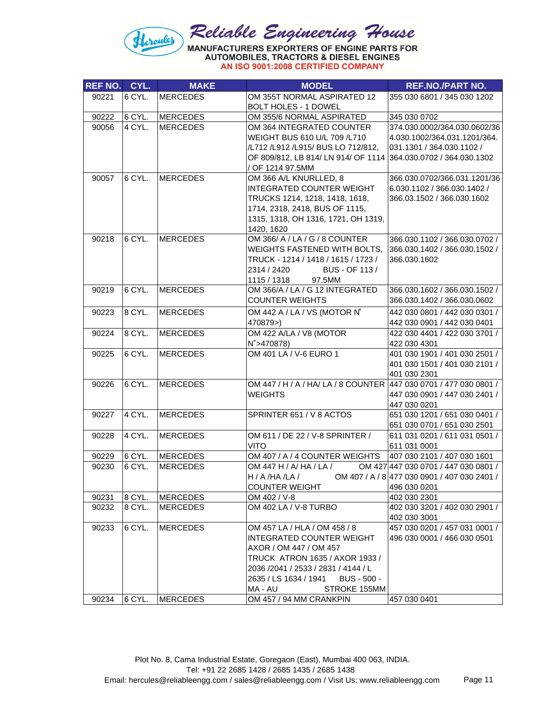

| <b>REF NO.</b> | CYL.   | <b>MAKE</b>     | <b>MODEL</b>                                                                        | <b>REF.NO./PART NO.</b>                       |
|----------------|--------|-----------------|-------------------------------------------------------------------------------------|-----------------------------------------------|
| 90221          | 6 CYL. | <b>MERCEDES</b> | OM 355T NORMAL ASPIRATED 12                                                         | 355 030 6801 / 345 030 1202                   |
|                |        |                 | <b>BOLT HOLES - 1 DOWEL</b>                                                         |                                               |
| 90222          | 6 CYL. | MERCEDES        | OM 355/6 NORMAL ASPIRATED                                                           | 345 030 0702                                  |
| 90056          | 4 CYL. | <b>MERCEDES</b> | OM 364 INTEGRATED COUNTER                                                           | 374.030.0002/364.030.0602/36                  |
|                |        |                 | WEIGHT BUS 610 U/L 709 /L710                                                        | 4.030.1002/364.031.1201/364.                  |
|                |        |                 | /L712 /L912 /L915/ BUS LO 712/812,                                                  | 031.1301 / 364.030.1102 /                     |
|                |        |                 | OF 809/812, LB 814/ LN 914/ OF 1114 364.030.0702 / 364.030.1302                     |                                               |
|                |        |                 | / OF 1214 97.5MM                                                                    |                                               |
| 90057          | 6 CYL. | <b>MERCEDES</b> | OM 366 A/L KNURLLED, 8                                                              | 366.030.0702/366.031.1201/36                  |
|                |        |                 | INTEGRATED COUNTER WEIGHT                                                           | 6.030.1102 / 366.030.1402 /                   |
|                |        |                 | TRUCKS 1214, 1218, 1418, 1618,                                                      | 366.03.1502 / 366.030.1602                    |
|                |        |                 | 1714, 2318, 2418, BUS OF 1115,                                                      |                                               |
|                |        |                 | 1315, 1318, OH 1316, 1721, OH 1319,                                                 |                                               |
|                |        |                 | 1420, 1620                                                                          |                                               |
| 90218          | 6 CYL. | MERCEDES        | OM 366/ A / LA / G / 8 COUNTER                                                      | 366.030.1102 / 366.030.0702 /                 |
|                |        |                 | WEIGHTS FASTENED WITH BOLTS,                                                        | 366.030.1402 / 366.030.1502 /                 |
|                |        |                 | TRUCK - 1214 / 1418 / 1615 / 1723 /                                                 | 366.030.1602                                  |
|                |        |                 | 2314 / 2420<br>BUS - OF 113 /                                                       |                                               |
|                |        |                 | 1115 / 1318<br>97.5MM                                                               |                                               |
| 90219          | 6 CYL. | MERCEDES        | OM 366/A / LA / G 12 INTEGRATED                                                     | 366.030.1602 / 366.030.1502 /                 |
|                |        |                 | <b>COUNTER WEIGHTS</b>                                                              | 366.030.1402 / 366.030.0602                   |
| 90223          | 8 CYL. | MERCEDES        | OM 442 A / LA / VS (MOTOR N°                                                        | 442 030 0801 / 442 030 0301 /                 |
|                |        |                 | 470879>)                                                                            | 442 030 0901 / 442 030 0401                   |
| 90224          | 8 CYL. | MERCEDES        | OM 422 A/LA / V8 (MOTOR                                                             | 422 030 4401 / 422 030 3701 /                 |
|                |        |                 | $N^{\circ} > 470878$                                                                | 422 030 4301                                  |
| 90225          | 6 CYL. | MERCEDES        | OM 401 LA / V-6 EURO 1                                                              | 401 030 1901 / 401 030 2501 /                 |
|                |        |                 |                                                                                     | 401 030 1501 / 401 030 2101 /                 |
|                |        |                 |                                                                                     | 401 030 2301                                  |
| 90226          | 6 CYL. | MERCEDES        | OM 447 / H / A / HA/ LA / 8 COUNTER 447 030 0701 / 477 030 0801 /<br><b>WEIGHTS</b> |                                               |
|                |        |                 |                                                                                     | 447 030 0901 / 447 030 2401 /<br>447 030 0201 |
| 90227          | 4 CYL. | <b>MERCEDES</b> | SPRINTER 651 / V 8 ACTOS                                                            | 651 030 1201 / 651 030 0401 /                 |
|                |        |                 |                                                                                     | 651 030 0701 / 651 030 2501                   |
| 90228          | 4 CYL. | MERCEDES        | OM 611 / DE 22 / V-8 SPRINTER /                                                     | 611 031 0201 / 611 031 0501 /                 |
|                |        |                 | <b>VITO</b>                                                                         | 611 031 0001                                  |
| 90229          | 6 CYL. | MERCEDES        | OM 407 / A / 4 COUNTER WEIGHTS                                                      | 407 030 2101 / 407 030 1601                   |
| 90230          | 6 CYL. | <b>MERCEDES</b> | OM 447 H / A/ HA / LA /                                                             | OM 427 447 030 0701 / 447 030 0801 /          |
|                |        |                 | H / A /HA /LA / $OM 407 / A / 8   477 030 0901 / 407 030 2401 /$                    |                                               |
|                |        |                 | <b>COUNTER WEIGHT</b>                                                               | 496 030 0201                                  |
| 90231          | 8 CYL. | MERCEDES        | OM 402 / V-8                                                                        | 402 030 2301                                  |
| 90232          | 8 CYL. | <b>MERCEDES</b> | OM 402 LA / V-8 TURBO                                                               | 402 030 3201 / 402 030 2901 /                 |
|                |        |                 |                                                                                     | 402 030 3001                                  |
| 90233          | 6 CYL. | <b>MERCEDES</b> | OM 457 LA / HLA / OM 458 / 8                                                        | 457 030 0201 / 457 031 0001 /                 |
|                |        |                 | <b>INTEGRATED COUNTER WEIGHT</b>                                                    | 496 030 0001 / 466 030 0501                   |
|                |        |                 | AXOR / OM 447 / OM 457                                                              |                                               |
|                |        |                 | TRUCK ATRON 1635 / AXOR 1933 /                                                      |                                               |
|                |        |                 | 2036 /2041 / 2533 / 2831 / 4144 / L                                                 |                                               |
|                |        |                 | 2635 / LS 1634 / 1941 BUS - 500 -                                                   |                                               |
|                |        |                 | STROKE 155MM<br>MA - AU                                                             |                                               |
| 90234          |        | 6 CYL. MERCEDES | OM 457 / 94 MM CRANKPIN                                                             | 457 030 0401                                  |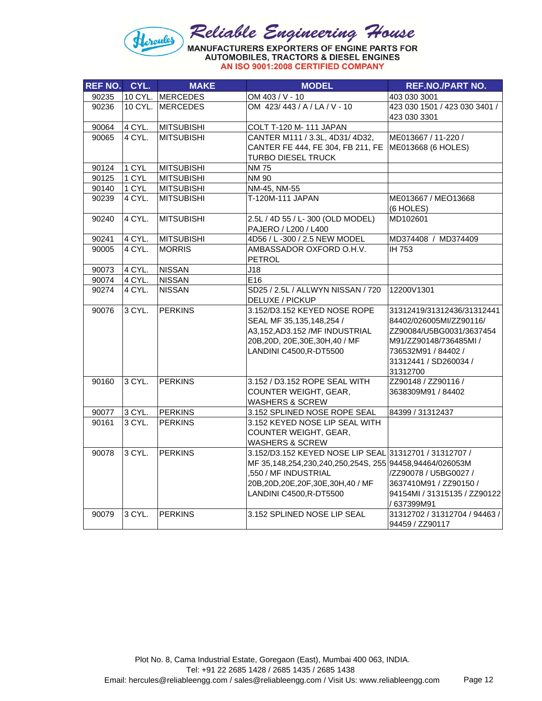

| <b>REF NO.</b> | CYL.   | <b>MAKE</b>       | <b>MODEL</b>                                            | <b>REF.NO./PART NO.</b>       |
|----------------|--------|-------------------|---------------------------------------------------------|-------------------------------|
| 90235          |        | 10 CYL. MERCEDES  | OM 403 / V - 10                                         | 403 030 3001                  |
| 90236          |        | 10 CYL. IMERCEDES | OM 423/443 / A / LA / V - 10                            | 423 030 1501 / 423 030 3401 / |
|                |        |                   |                                                         | 423 030 3301                  |
| 90064          | 4 CYL. | <b>MITSUBISHI</b> | COLT T-120 M- 111 JAPAN                                 |                               |
| 90065          | 4 CYL. | <b>MITSUBISHI</b> | CANTER M111 / 3.3L, 4D31/4D32,                          | ME013667 / 11-220 /           |
|                |        |                   | CANTER FE 444, FE 304, FB 211, FE                       | ME013668 (6 HOLES)            |
|                |        |                   | <b>TURBO DIESEL TRUCK</b>                               |                               |
| 90124          | 1 CYL  | <b>MITSUBISHI</b> | <b>NM75</b>                                             |                               |
| 90125          | 1 CYL  | <b>MITSUBISHI</b> | <b>NM 90</b>                                            |                               |
| 90140          | 1 CYL  | <b>MITSUBISHI</b> | NM-45, NM-55                                            |                               |
| 90239          | 4 CYL. | <b>MITSUBISHI</b> | T-120M-111 JAPAN                                        | ME013667 / MEO13668           |
|                |        |                   |                                                         | (6 HOLES)                     |
| 90240          | 4 CYL. | <b>MITSUBISHI</b> | 2.5L / 4D 55 / L- 300 (OLD MODEL)                       | MD102601                      |
|                |        |                   | PAJERO / L200 / L400                                    |                               |
| 90241          | 4 CYL. | <b>MITSUBISHI</b> | 4D56 / L-300 / 2.5 NEW MODEL                            | MD374408 / MD374409           |
| 90005          | 4 CYL. | <b>MORRIS</b>     | AMBASSADOR OXFORD O.H.V.                                | IH 753                        |
|                |        |                   | <b>PETROL</b>                                           |                               |
| 90073          | 4 CYL. | <b>NISSAN</b>     | J18                                                     |                               |
| 90074          | 4 CYL. | <b>NISSAN</b>     | E16                                                     |                               |
| 90274          | 4 CYL. | <b>NISSAN</b>     | SD25 / 2.5L / ALLWYN NISSAN / 720                       | 12200V1301                    |
|                |        |                   | DELUXE / PICKUP                                         |                               |
| 90076          | 3 CYL. | <b>PERKINS</b>    | 3.152/D3.152 KEYED NOSE ROPE                            | 31312419/31312436/31312441    |
|                |        |                   | SEAL MF 35,135,148,254 /                                | 84402/026005MI/ZZ90116/       |
|                |        |                   | A3,152, AD3.152 / MF INDUSTRIAL                         | ZZ90084/U5BG0031/3637454      |
|                |        |                   | 20B, 20D, 20E, 30E, 30H, 40 / MF                        | M91/ZZ90148/736485MI /        |
|                |        |                   | LANDINI C4500, R-DT5500                                 | 736532M91 / 84402 /           |
|                |        |                   |                                                         | 31312441 / SD260034 /         |
|                |        |                   |                                                         | 31312700                      |
| 90160          | 3 CYL. | <b>PERKINS</b>    | 3.152 / D3.152 ROPE SEAL WITH                           | ZZ90148 / ZZ90116 /           |
|                |        |                   | COUNTER WEIGHT, GEAR,                                   | 3638309M91 / 84402            |
|                |        |                   | <b>WASHERS &amp; SCREW</b>                              |                               |
| 90077          | 3 CYL. | <b>PERKINS</b>    | 3.152 SPLINED NOSE ROPE SEAL                            | 84399 / 31312437              |
| 90161          | 3 CYL. | <b>PERKINS</b>    | 3.152 KEYED NOSE LIP SEAL WITH                          |                               |
|                |        |                   | COUNTER WEIGHT, GEAR,                                   |                               |
|                |        |                   | <b>WASHERS &amp; SCREW</b>                              |                               |
| 90078          | 3 CYL. | <b>PERKINS</b>    | 3.152/D3.152 KEYED NOSE LIP SEAL 31312701 / 31312707 /  |                               |
|                |        |                   | MF 35,148,254,230,240,250,254S, 255 94458,94464/026053M |                               |
|                |        |                   | ,550 / MF INDUSTRIAL                                    | /ZZ90078 / U5BG0027 /         |
|                |        |                   | 20B, 20D, 20E, 20F, 30E, 30H, 40 / MF                   | 3637410M91 / ZZ90150 /        |
|                |        |                   | LANDINI C4500, R-DT5500                                 | 94154MI / 31315135 / ZZ90122  |
|                |        |                   |                                                         | / 637399M91                   |
| 90079          | 3 CYL. | <b>PERKINS</b>    | 3.152 SPLINED NOSE LIP SEAL                             | 31312702 / 31312704 / 94463 / |
|                |        |                   |                                                         | 94459 / ZZ90117               |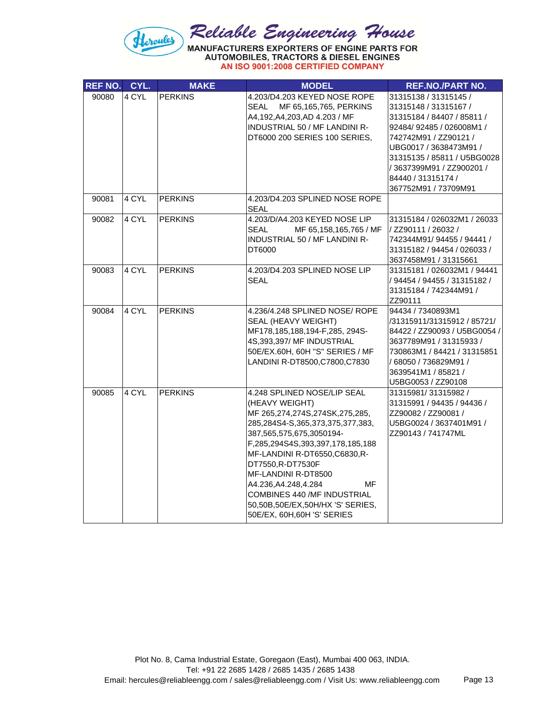

| <b>REF NO.</b> | CYL.  | <b>MAKE</b>    | <b>MODEL</b>                                                                                                                                                                                                                                                                                                                                                                                    | <b>REF.NO./PART NO.</b>                                                                                                                                                                                                                                               |
|----------------|-------|----------------|-------------------------------------------------------------------------------------------------------------------------------------------------------------------------------------------------------------------------------------------------------------------------------------------------------------------------------------------------------------------------------------------------|-----------------------------------------------------------------------------------------------------------------------------------------------------------------------------------------------------------------------------------------------------------------------|
| 90080          | 4 CYL | <b>PERKINS</b> | 4.203/D4.203 KEYED NOSE ROPE<br>SEAL<br>MF 65,165,765, PERKINS<br>A4,192,A4,203,AD 4.203 / MF<br><b>INDUSTRIAL 50 / MF LANDINI R-</b><br>DT6000 200 SERIES 100 SERIES,                                                                                                                                                                                                                          | 31315138 / 31315145 /<br>31315148 / 31315167 /<br>31315184 / 84407 / 85811 /<br>92484/92485 / 026008M1 /<br>742742M91 / ZZ90121 /<br>UBG0017 / 3638473M91 /<br>31315135 / 85811 / U5BG0028<br>/ 3637399M91 / ZZ900201 /<br>84440 / 31315174 /<br>367752M91 / 73709M91 |
| 90081          | 4 CYL | <b>PERKINS</b> | 4.203/D4.203 SPLINED NOSE ROPE<br>SEAL                                                                                                                                                                                                                                                                                                                                                          |                                                                                                                                                                                                                                                                       |
| 90082          | 4 CYL | <b>PERKINS</b> | 4.203/D/A4.203 KEYED NOSE LIP<br>SEAL<br>MF 65,158,165,765 / MF<br><b>INDUSTRIAL 50 / MF LANDINI R-</b><br>DT6000                                                                                                                                                                                                                                                                               | 31315184 / 026032M1 / 26033<br>/ ZZ90111 / 26032 /<br>742344M91/94455 / 94441 /<br>31315182 / 94454 / 026033 /<br>3637458M91 / 31315661                                                                                                                               |
| 90083          | 4 CYL | <b>PERKINS</b> | 4.203/D4.203 SPLINED NOSE LIP<br><b>SEAL</b>                                                                                                                                                                                                                                                                                                                                                    | 31315181 / 026032M1 / 94441<br>/ 94454 / 94455 / 31315182 /<br>31315184 / 742344M91 /<br>ZZ90111                                                                                                                                                                      |
| 90084          | 4 CYL | <b>PERKINS</b> | 4.236/4.248 SPLINED NOSE/ ROPE<br>SEAL (HEAVY WEIGHT)<br>MF178,185,188,194-F,285, 294S-<br>4S,393,397/MF INDUSTRIAL<br>50E/EX.60H, 60H "S" SERIES / MF<br>LANDINI R-DT8500, C7800, C7830                                                                                                                                                                                                        | 94434 / 7340893M1<br>/31315911/31315912 / 85721/<br>84422 / ZZ90093 / U5BG0054 /<br>3637789M91 / 31315933 /<br>730863M1 / 84421 / 31315851<br>/ 68050 / 736829M91 /<br>3639541M1 / 85821 /<br>U5BG0053 / ZZ90108                                                      |
| 90085          | 4 CYL | <b>PERKINS</b> | 4.248 SPLINED NOSE/LIP SEAL<br>(HEAVY WEIGHT)<br>MF 265,274,274S,274SK,275,285,<br>285,284S4-S,365,373,375,377,383,<br>387,565,575,675,3050194-<br>F,285,294S4S,393,397,178,185,188<br>MF-LANDINI R-DT6550, C6830, R-<br>DT7550,R-DT7530F<br>MF-LANDINI R-DT8500<br>A4.236,A4.248,4.284<br>МF<br>COMBINES 440 /MF INDUSTRIAL<br>50,50B,50E/EX,50H/HX 'S' SERIES,<br>50E/EX, 60H, 60H 'S' SERIES | 31315981/31315982/<br>31315991 / 94435 / 94436 /<br>ZZ90082 / ZZ90081 /<br>U5BG0024 / 3637401M91 /<br>ZZ90143 / 741747ML                                                                                                                                              |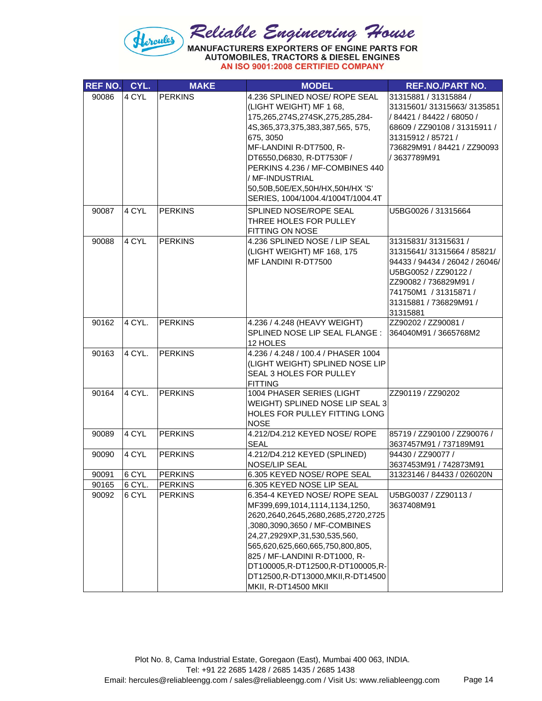

| <b>REF NO.</b> | CYL.   | <b>MAKE</b>    | <b>MODEL</b>                                    | <b>REF.NO./PART NO.</b>        |
|----------------|--------|----------------|-------------------------------------------------|--------------------------------|
| 90086          | 4 CYL  | <b>PERKINS</b> | 4.236 SPLINED NOSE/ ROPE SEAL                   | 31315881 / 31315884 /          |
|                |        |                | (LIGHT WEIGHT) MF 1 68,                         | 31315601/31315663/3135851      |
|                |        |                | 175,265,274S,274SK,275,285,284-                 | /84421 / 84422 / 68050 /       |
|                |        |                | 4S, 365, 373, 375, 383, 387, 565, 575,          | 68609 / ZZ90108 / 31315911 /   |
|                |        |                | 675, 3050                                       | 31315912 / 85721 /             |
|                |        |                | MF-LANDINI R-DT7500, R-                         | 736829M91 / 84421 / ZZ90093    |
|                |        |                | DT6550, D6830, R-DT7530F /                      | / 3637789M91                   |
|                |        |                | PERKINS 4.236 / MF-COMBINES 440                 |                                |
|                |        |                | / MF-INDUSTRIAL                                 |                                |
|                |        |                | 50,50B,50E/EX,50H/HX,50H/HX 'S'                 |                                |
|                |        |                | SERIES, 1004/1004.4/1004T/1004.4T               |                                |
| 90087          | 4 CYL  | <b>PERKINS</b> | SPLINED NOSE/ROPE SEAL                          | U5BG0026 / 31315664            |
|                |        |                | THREE HOLES FOR PULLEY                          |                                |
|                |        |                | FITTING ON NOSE                                 |                                |
| 90088          | 4 CYL  | <b>PERKINS</b> | 4.236 SPLINED NOSE / LIP SEAL                   | 31315831/31315631 /            |
|                |        |                | (LIGHT WEIGHT) MF 168, 175                      | 31315641/31315664 / 85821/     |
|                |        |                | MF LANDINI R-DT7500                             | 94433 / 94434 / 26042 / 26046/ |
|                |        |                |                                                 | U5BG0052 / ZZ90122 /           |
|                |        |                |                                                 | ZZ90082 / 736829M91 /          |
|                |        |                |                                                 | 741750M1 / 31315871 /          |
|                |        |                |                                                 | 31315881 / 736829M91 /         |
|                |        |                |                                                 | 31315881                       |
| 90162          | 4 CYL. | <b>PERKINS</b> | 4.236 / 4.248 (HEAVY WEIGHT)                    | ZZ90202 / ZZ90081 /            |
|                |        |                | SPLINED NOSE LIP SEAL FLANGE :                  | 364040M91 / 3665768M2          |
| 90163          | 4 CYL. | <b>PERKINS</b> | 12 HOLES<br>4.236 / 4.248 / 100.4 / PHASER 1004 |                                |
|                |        |                | (LIGHT WEIGHT) SPLINED NOSE LIP                 |                                |
|                |        |                | SEAL 3 HOLES FOR PULLEY                         |                                |
|                |        |                | <b>FITTING</b>                                  |                                |
| 90164          | 4 CYL. | <b>PERKINS</b> | 1004 PHASER SERIES (LIGHT                       | ZZ90119 / ZZ90202              |
|                |        |                | WEIGHT) SPLINED NOSE LIP SEAL 3                 |                                |
|                |        |                | HOLES FOR PULLEY FITTING LONG                   |                                |
|                |        |                | <b>NOSE</b>                                     |                                |
| 90089          | 4 CYL  | <b>PERKINS</b> | 4.212/D4.212 KEYED NOSE/ ROPE                   | 85719 / ZZ90100 / ZZ90076 /    |
|                |        |                | <b>SEAL</b>                                     | 3637457M91 / 737189M91         |
| 90090          | 4 CYL  | <b>PERKINS</b> | 4.212/D4.212 KEYED (SPLINED)                    | 94430 / ZZ90077 /              |
|                |        |                | NOSE/LIP SEAL                                   | 3637453M91 / 742873M91         |
| 90091          | 6 CYL  | <b>PERKINS</b> | 6.305 KEYED NOSE/ ROPE SEAL                     | 31323146 / 84433 / 026020N     |
| 90165          | 6 CYL. | <b>PERKINS</b> | 6.305 KEYED NOSE LIP SEAL                       |                                |
| 90092          | 6 CYL  | <b>PERKINS</b> | 6.354-4 KEYED NOSE/ ROPE SEAL                   | U5BG0037 / ZZ90113 /           |
|                |        |                | MF399,699,1014,1114,1134,1250,                  | 3637408M91                     |
|                |        |                | 2620,2640,2645,2680,2685,2720,2725              |                                |
|                |        |                | ,3080,3090,3650 / MF-COMBINES                   |                                |
|                |        |                | 24,27,2929XP,31,530,535,560,                    |                                |
|                |        |                | 565,620,625,660,665,750,800,805,                |                                |
|                |        |                | 825 / MF-LANDINI R-DT1000, R-                   |                                |
|                |        |                | DT100005,R-DT12500,R-DT100005,R-                |                                |
|                |        |                | DT12500,R-DT13000,MKII,R-DT14500                |                                |
|                |        |                | MKII, R-DT14500 MKII                            |                                |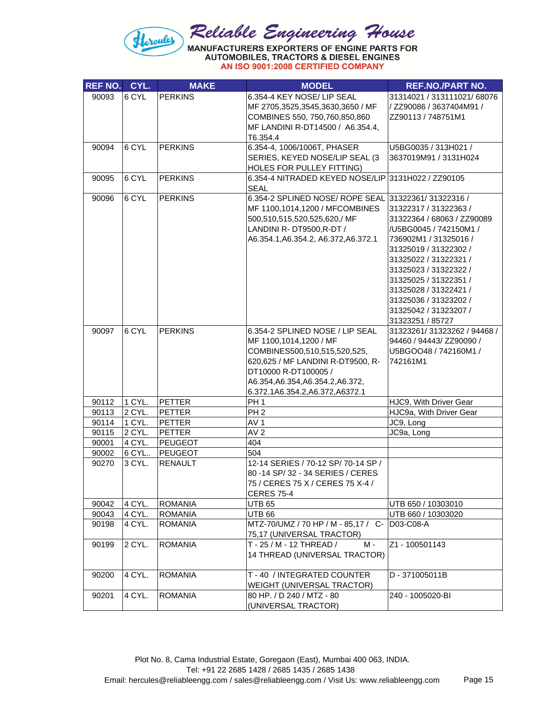

| <b>REF NO.</b> | CYL.             | <b>MAKE</b>                      | <b>MODEL</b>                                                                    | <b>REF.NO./PART NO.</b>                        |
|----------------|------------------|----------------------------------|---------------------------------------------------------------------------------|------------------------------------------------|
| 90093          | 6 CYL            | <b>PERKINS</b>                   | 6.354-4 KEY NOSE/ LIP SEAL                                                      | 31314021 / 313111021/ 68076                    |
|                |                  |                                  | MF 2705,3525,3545,3630,3650 / MF                                                | / ZZ90086 / 3637404M91 /                       |
|                |                  |                                  | COMBINES 550, 750, 760, 850, 860                                                | ZZ90113 / 748751M1                             |
|                |                  |                                  | MF LANDINI R-DT14500 / A6.354.4,                                                |                                                |
|                |                  |                                  | T6.354.4                                                                        |                                                |
| 90094          | 6 CYL            | <b>PERKINS</b>                   | 6.354-4, 1006/1006T, PHASER                                                     | U5BG0035 / 313H021 /                           |
|                |                  |                                  | SERIES, KEYED NOSE/LIP SEAL (3                                                  | 3637019M91 / 3131H024                          |
| 90095          | 6 CYL            | <b>PERKINS</b>                   | HOLES FOR PULLEY FITTING)<br>6.354-4 NITRADED KEYED NOSE/LIP 3131H022 / ZZ90105 |                                                |
|                |                  |                                  | <b>SEAL</b>                                                                     |                                                |
| 90096          | 6 CYL            | <b>PERKINS</b>                   | 6.354-2 SPLINED NOSE/ ROPE SEAL 31322361/31322316 /                             |                                                |
|                |                  |                                  | MF 1100,1014,1200 / MFCOMBINES                                                  | 31322317 / 31322363 /                          |
|                |                  |                                  | 500,510,515,520,525,620,/ MF                                                    | 31322364 / 68063 / ZZ90089                     |
|                |                  |                                  | LANDINI R- DT9500, R-DT /                                                       | /U5BG0045 / 742150M1 /                         |
|                |                  |                                  | A6.354.1, A6.354.2, A6.372, A6.372.1                                            | 736902M1 / 31325016 /                          |
|                |                  |                                  |                                                                                 | 31325019 / 31322302 /                          |
|                |                  |                                  |                                                                                 | 31325022 / 31322321 /                          |
|                |                  |                                  |                                                                                 | 31325023 / 31322322 /                          |
|                |                  |                                  |                                                                                 | 31325025 / 31322351 /<br>31325028 / 31322421 / |
|                |                  |                                  |                                                                                 | 31325036 / 31323202 /                          |
|                |                  |                                  |                                                                                 | 31325042 / 31323207 /                          |
|                |                  |                                  |                                                                                 | 31323251 / 85727                               |
| 90097          | 6 CYL            | <b>PERKINS</b>                   | 6.354-2 SPLINED NOSE / LIP SEAL                                                 | 31323261/31323262 / 94468 /                    |
|                |                  |                                  | MF 1100,1014,1200 / MF                                                          | 94460 / 94443 / ZZ90090 /                      |
|                |                  |                                  | COMBINES500,510,515,520,525,                                                    | U5BGOO48 / 742160M1 /                          |
|                |                  |                                  | 620,625 / MF LANDINI R-DT9500, R-                                               | 742161M1                                       |
|                |                  |                                  | DT10000 R-DT100005 /                                                            |                                                |
|                |                  |                                  | A6.354, A6.354, A6.354.2, A6.372,                                               |                                                |
|                |                  |                                  | 6.372.1A6.354.2,A6.372,A6372.1                                                  |                                                |
| 90112          | 1 CYL.           | PETTER                           | PH <sub>1</sub>                                                                 | HJC9, With Driver Gear                         |
| 90113          | 2 CYL.           | <b>PETTER</b>                    | PH <sub>2</sub>                                                                 | HJC9a, With Driver Gear                        |
| 90114          | 1 CYL.           | <b>PETTER</b>                    | AV <sub>1</sub>                                                                 | JC9, Long                                      |
| 90115          | 2 CYL.           | PETTER                           | AV <sub>2</sub>                                                                 | JC9a, Long                                     |
| 90001          | 4 CYL.           | PEUGEOT                          | 404                                                                             |                                                |
| 90002          | 6 CYL            | <b>PEUGEOT</b>                   | 504                                                                             |                                                |
| 90270          | 3 CYL.           | <b>RENAULT</b>                   | 12-14 SERIES / 70-12 SP/ 70-14 SP /                                             |                                                |
|                |                  |                                  | 80 - 14 SP/ 32 - 34 SERIES / CERES                                              |                                                |
|                |                  |                                  | 75 / CERES 75 X / CERES 75 X-4 /                                                |                                                |
|                |                  |                                  | <b>CERES 75-4</b>                                                               |                                                |
| 90042<br>90043 | 4 CYL.<br>4 CYL. | <b>ROMANIA</b><br><b>ROMANIA</b> | <b>UTB 65</b><br><b>UTB 66</b>                                                  | UTB 650 / 10303010<br>UTB 660 / 10303020       |
| 90198          | 4 CYL.           | <b>ROMANIA</b>                   | MTZ-70/UMZ / 70 HP / M - 85,17 / C-                                             | D03-C08-A                                      |
|                |                  |                                  | 75,17 (UNIVERSAL TRACTOR)                                                       |                                                |
| 90199          | 2 CYL.           | <b>ROMANIA</b>                   | T - 25 / M - 12 THREAD /<br>M -                                                 | Z1 - 100501143                                 |
|                |                  |                                  | 14 THREAD (UNIVERSAL TRACTOR)                                                   |                                                |
|                |                  |                                  |                                                                                 |                                                |
| 90200          | 4 CYL.           | <b>ROMANIA</b>                   | T - 40 / INTEGRATED COUNTER                                                     | D - 371005011B                                 |
|                |                  |                                  | WEIGHT (UNIVERSAL TRACTOR)                                                      |                                                |
| 90201          | 4 CYL.           | <b>ROMANIA</b>                   | 80 HP. / D 240 / MTZ - 80                                                       | 240 - 1005020-BI                               |
|                |                  |                                  | (UNIVERSAL TRACTOR)                                                             |                                                |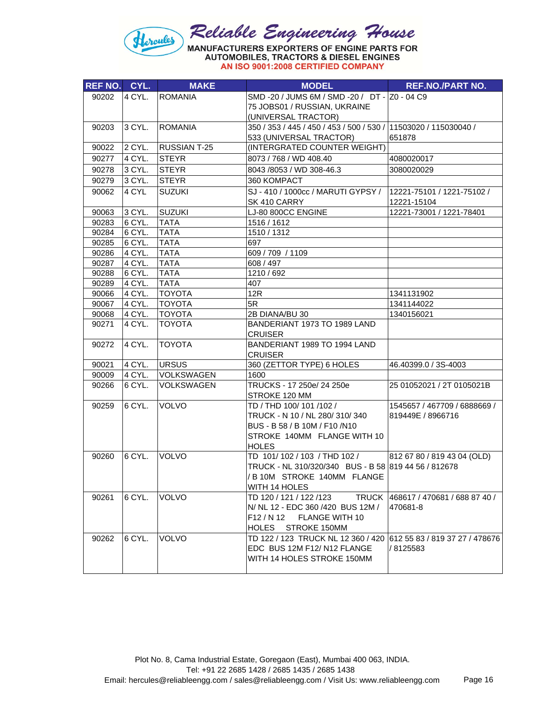

| AN ISO 9001:2008 CERTIFIED COMPANY |  |  |  |  |
|------------------------------------|--|--|--|--|
|------------------------------------|--|--|--|--|

| REF NO. CYL. |        | <b>MAKE</b>         | <b>MODEL</b>                                                                | <b>REF.NO./PART NO.</b>             |
|--------------|--------|---------------------|-----------------------------------------------------------------------------|-------------------------------------|
| 90202        | 4 CYL. | <b>ROMANIA</b>      | SMD-20 / JUMS 6M / SMD-20 / DT- Z0-04 C9                                    |                                     |
|              |        |                     | 75 JOBS01 / RUSSIAN, UKRAINE                                                |                                     |
|              |        |                     | (UNIVERSAL TRACTOR)                                                         |                                     |
| 90203        | 3 CYL. | <b>ROMANIA</b>      | 350 / 353 / 445 / 450 / 453 / 500 / 530 / 11503020 / 115030040 /            |                                     |
|              |        |                     | 533 (UNIVERSAL TRACTOR)                                                     | 651878                              |
| 90022        | 2 CYL. | <b>RUSSIAN T-25</b> | (INTERGRATED COUNTER WEIGHT)                                                |                                     |
| 90277        | 4 CYL. | <b>STEYR</b>        | 8073 / 768 / WD 408.40                                                      | 4080020017                          |
| 90278        | 3 CYL. | <b>STEYR</b>        | 8043 / 8053 / WD 308-46.3                                                   | 3080020029                          |
| 90279        | 3 CYL. | <b>STEYR</b>        | 360 KOMPACT                                                                 |                                     |
| 90062        | 4 CYL  | <b>SUZUKI</b>       | SJ-410 / 1000cc / MARUTI GYPSY / 12221-75101 / 1221-75102 /<br>SK 410 CARRY | 12221-15104                         |
| 90063        | 3 CYL. | <b>SUZUKI</b>       | LJ-80 800CC ENGINE                                                          | 12221-73001 / 1221-78401            |
| 90283        | 6 CYL. | <b>TATA</b>         | 1516 / 1612                                                                 |                                     |
| 90284        | 6 CYL. | <b>TATA</b>         | 1510 / 1312                                                                 |                                     |
| 90285        | 6 CYL. | <b>TATA</b>         | 697                                                                         |                                     |
| 90286        | 4 CYL. | <b>TATA</b>         | 609 / 709 / 1109                                                            |                                     |
| 90287        | 4 CYL. | <b>TATA</b>         | 608 / 497                                                                   |                                     |
| 90288        | 6 CYL. | <b>TATA</b>         | 1210 / 692                                                                  |                                     |
| 90289        | 4 CYL. | <b>TATA</b>         | 407                                                                         |                                     |
| 90066        | 4 CYL. | <b>TOYOTA</b>       | 12R                                                                         | 1341131902                          |
| 90067        | 4 CYL. | <b>TOYOTA</b>       | 5R                                                                          | 1341144022                          |
| 90068        | 4 CYL. | TOYOTA              | 2B DIANA/BU 30                                                              | 1340156021                          |
| 90271        | 4 CYL. | <b>TOYOTA</b>       | BANDERIANT 1973 TO 1989 LAND<br><b>CRUISER</b>                              |                                     |
| 90272        | 4 CYL. | <b>TOYOTA</b>       | BANDERIANT 1989 TO 1994 LAND<br><b>CRUISER</b>                              |                                     |
| 90021        | 4 CYL. | <b>URSUS</b>        | 360 (ZETTOR TYPE) 6 HOLES                                                   | 46.40399.0 / 3S-4003                |
| 90009        | 4 CYL. | <b>VOLKSWAGEN</b>   | 1600                                                                        |                                     |
| 90266        | 6 CYL. | VOLKSWAGEN          | TRUCKS - 17 250e/ 24 250e<br>STROKE 120 MM                                  | 25 01052021 / 2T 0105021B           |
| 90259        | 6 CYL. | <b>VOLVO</b>        | TD / THD 100/101/102/                                                       | 1545657 / 467709 / 6888669 /        |
|              |        |                     | TRUCK - N 10 / NL 280/310/340                                               | 819449E / 8966716                   |
|              |        |                     | BUS - B 58 / B 10M / F10 / N10                                              |                                     |
|              |        |                     | STROKE 140MM FLANGE WITH 10                                                 |                                     |
| 90260        | 6 CYL. | VOLVO               | <b>HOLES</b><br>TD 101/102 / 103 / THD 102 /                                |                                     |
|              |        |                     | TRUCK - NL 310/320/340 BUS - B 58 819 44 56 / 812678                        | 812 67 80 / 819 43 04 (OLD)         |
|              |        |                     | / B 10M STROKE 140MM FLANGE                                                 |                                     |
|              |        |                     | WITH 14 HOLES                                                               |                                     |
| 90261        | 6 CYL. | <b>VOLVO</b>        | TD 120 / 121 / 122 / 123                                                    | TRUCK 468617 / 470681 / 688 87 40 / |
|              |        |                     | N/ NL 12 - EDC 360 /420 BUS 12M /                                           | 470681-8                            |
|              |        |                     | F12 / N 12<br>FLANGE WITH 10                                                |                                     |
|              |        |                     | HOLES STROKE 150MM                                                          |                                     |
| 90262        | 6 CYL. | <b>VOLVO</b>        | TD 122 / 123 TRUCK NL 12 360 / 420                                          | 612 55 83 / 819 37 27 / 478676      |
|              |        |                     | EDC BUS 12M F12/ N12 FLANGE                                                 | /8125583                            |
|              |        |                     | WITH 14 HOLES STROKE 150MM                                                  |                                     |
|              |        |                     |                                                                             |                                     |